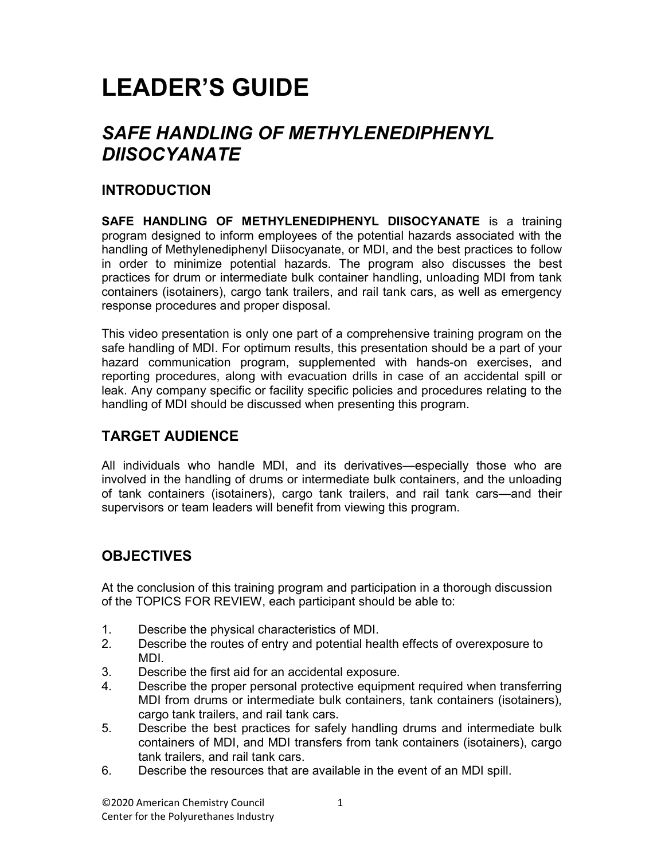# LEADER'S GUIDE

# SAFE HANDLING OF METHYLENEDIPHENYL DIISOCYANATE

## INTRODUCTION

SAFE HANDLING OF METHYLENEDIPHENYL DIISOCYANATE is a training program designed to inform employees of the potential hazards associated with the handling of Methylenediphenyl Diisocyanate, or MDI, and the best practices to follow in order to minimize potential hazards. The program also discusses the best practices for drum or intermediate bulk container handling, unloading MDI from tank containers (isotainers), cargo tank trailers, and rail tank cars, as well as emergency response procedures and proper disposal.

This video presentation is only one part of a comprehensive training program on the safe handling of MDI. For optimum results, this presentation should be a part of your hazard communication program, supplemented with hands-on exercises, and reporting procedures, along with evacuation drills in case of an accidental spill or leak. Any company specific or facility specific policies and procedures relating to the handling of MDI should be discussed when presenting this program.

# TARGET AUDIENCE

All individuals who handle MDI, and its derivatives—especially those who are involved in the handling of drums or intermediate bulk containers, and the unloading of tank containers (isotainers), cargo tank trailers, and rail tank cars—and their supervisors or team leaders will benefit from viewing this program.

# **OBJECTIVES**

At the conclusion of this training program and participation in a thorough discussion of the TOPICS FOR REVIEW, each participant should be able to:

- 1. Describe the physical characteristics of MDI.
- 2. Describe the routes of entry and potential health effects of overexposure to MDI.
- 3. Describe the first aid for an accidental exposure.
- 4. Describe the proper personal protective equipment required when transferring MDI from drums or intermediate bulk containers, tank containers (isotainers), cargo tank trailers, and rail tank cars.
- 5. Describe the best practices for safely handling drums and intermediate bulk containers of MDI, and MDI transfers from tank containers (isotainers), cargo tank trailers, and rail tank cars.
- 6. Describe the resources that are available in the event of an MDI spill.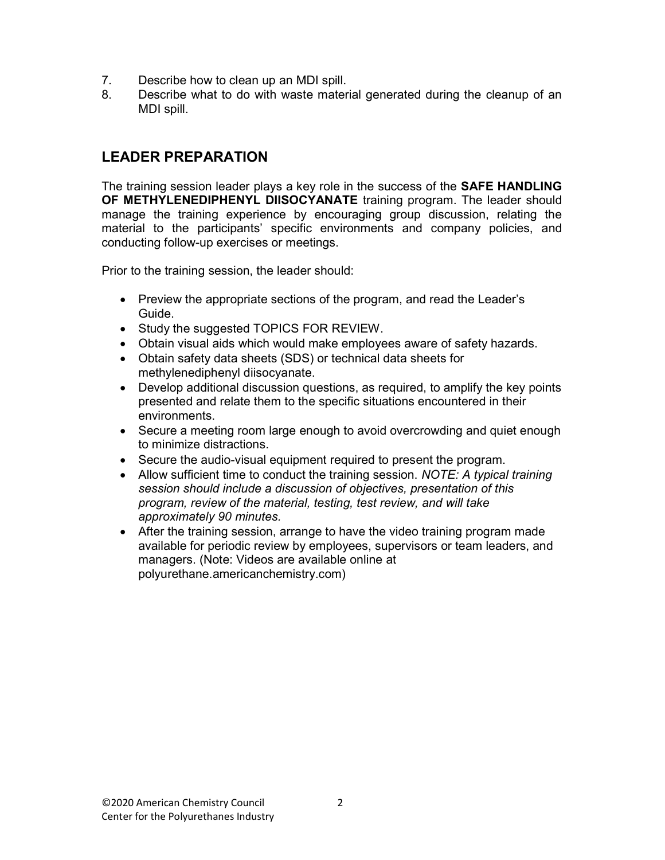- 7. Describe how to clean up an MDI spill.
- 8. Describe what to do with waste material generated during the cleanup of an MDI spill.

### LEADER PREPARATION

The training session leader plays a key role in the success of the **SAFE HANDLING** OF METHYLENEDIPHENYL DIISOCYANATE training program. The leader should manage the training experience by encouraging group discussion, relating the material to the participants' specific environments and company policies, and conducting follow-up exercises or meetings.

Prior to the training session, the leader should:

- Preview the appropriate sections of the program, and read the Leader's Guide.
- Study the suggested TOPICS FOR REVIEW.
- Obtain visual aids which would make employees aware of safety hazards.
- Obtain safety data sheets (SDS) or technical data sheets for methylenediphenyl diisocyanate.
- Develop additional discussion questions, as required, to amplify the key points presented and relate them to the specific situations encountered in their environments.
- Secure a meeting room large enough to avoid overcrowding and quiet enough to minimize distractions.
- Secure the audio-visual equipment required to present the program.
- Allow sufficient time to conduct the training session. NOTE: A typical training session should include a discussion of objectives, presentation of this program, review of the material, testing, test review, and will take approximately 90 minutes.
- After the training session, arrange to have the video training program made available for periodic review by employees, supervisors or team leaders, and managers. (Note: Videos are available online at polyurethane.americanchemistry.com)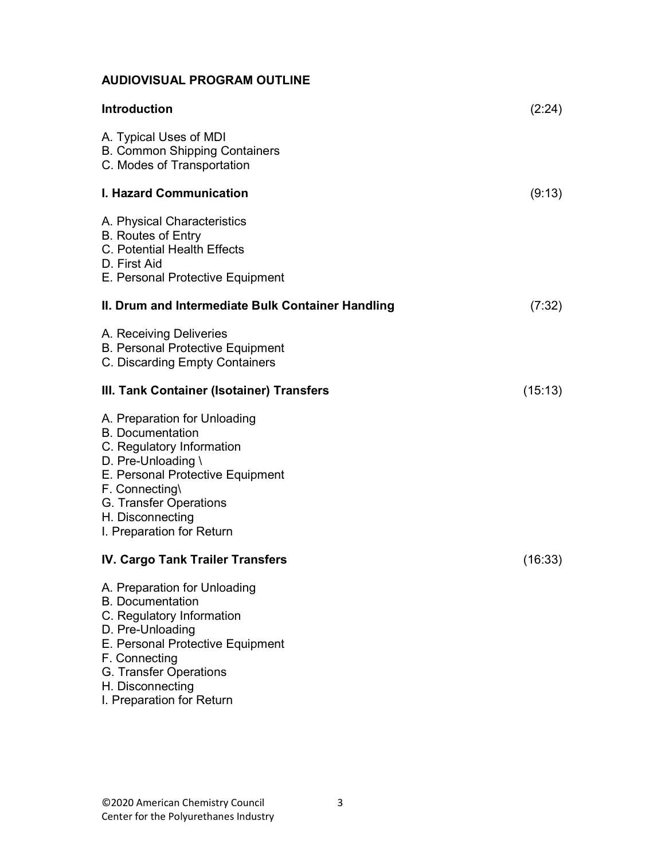## AUDIOVISUAL PROGRAM OUTLINE

| Introduction                                                                                                                                                                                                                                | (2:24)  |
|---------------------------------------------------------------------------------------------------------------------------------------------------------------------------------------------------------------------------------------------|---------|
| A. Typical Uses of MDI<br><b>B. Common Shipping Containers</b><br>C. Modes of Transportation                                                                                                                                                |         |
| <b>I. Hazard Communication</b>                                                                                                                                                                                                              | (9:13)  |
| A. Physical Characteristics<br><b>B. Routes of Entry</b><br>C. Potential Health Effects<br>D. First Aid<br>E. Personal Protective Equipment                                                                                                 |         |
| II. Drum and Intermediate Bulk Container Handling                                                                                                                                                                                           | (7:32)  |
| A. Receiving Deliveries<br><b>B. Personal Protective Equipment</b><br>C. Discarding Empty Containers                                                                                                                                        |         |
| III. Tank Container (Isotainer) Transfers                                                                                                                                                                                                   | (15:13) |
| A. Preparation for Unloading<br><b>B.</b> Documentation<br>C. Regulatory Information<br>D. Pre-Unloading \<br>E. Personal Protective Equipment<br>F. Connecting\<br>G. Transfer Operations<br>H. Disconnecting<br>I. Preparation for Return |         |
| <b>IV. Cargo Tank Trailer Transfers</b>                                                                                                                                                                                                     | (16:33) |
| A. Preparation for Unloading<br><b>B.</b> Documentation<br>C. Regulatory Information<br>D. Pre-Unloading<br>E. Personal Protective Equipment<br>F. Connecting<br>G. Transfer Operations<br>H. Disconnecting<br>I. Preparation for Return    |         |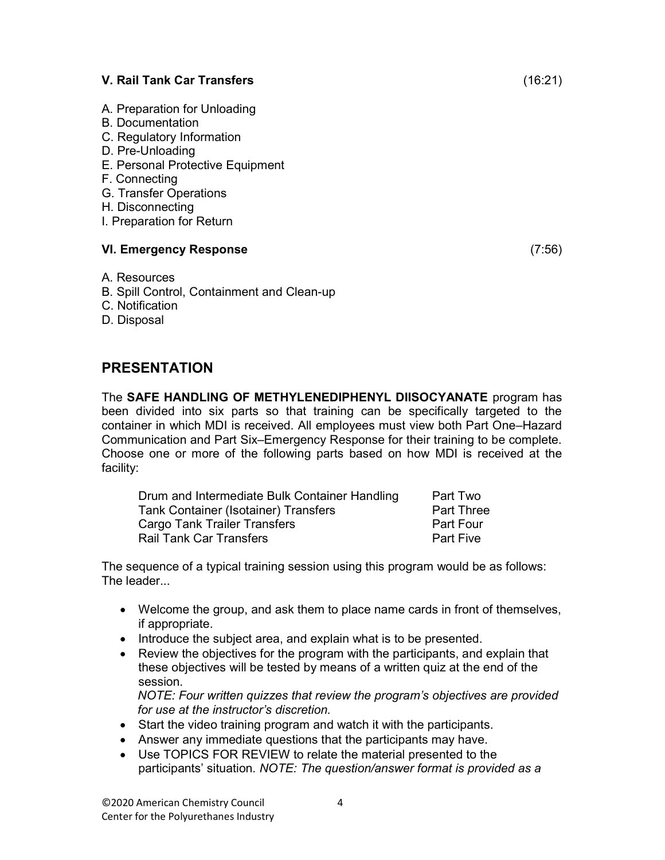#### V. Rail Tank Car Transfers (16:21)

- A. Preparation for Unloading
- B. Documentation
- C. Regulatory Information
- D. Pre-Unloading
- E. Personal Protective Equipment
- F. Connecting
- G. Transfer Operations
- H. Disconnecting
- I. Preparation for Return

#### VI. Emergency Response (7:56)

#### A. Resources

- B. Spill Control, Containment and Clean-up
- C. Notification
- D. Disposal

### PRESENTATION

The SAFE HANDLING OF METHYLENEDIPHENYL DIISOCYANATE program has been divided into six parts so that training can be specifically targeted to the container in which MDI is received. All employees must view both Part One–Hazard Communication and Part Six–Emergency Response for their training to be complete. Choose one or more of the following parts based on how MDI is received at the facility:

| Drum and Intermediate Bulk Container Handling | Part Two          |
|-----------------------------------------------|-------------------|
| Tank Container (Isotainer) Transfers          | <b>Part Three</b> |
| <b>Cargo Tank Trailer Transfers</b>           | Part Four         |
| <b>Rail Tank Car Transfers</b>                | <b>Part Five</b>  |

The sequence of a typical training session using this program would be as follows: The leader...

- Welcome the group, and ask them to place name cards in front of themselves, if appropriate.
- Introduce the subject area, and explain what is to be presented.
- Review the objectives for the program with the participants, and explain that these objectives will be tested by means of a written quiz at the end of the session.

NOTE: Four written quizzes that review the program's objectives are provided for use at the instructor's discretion.

- Start the video training program and watch it with the participants.
- Answer any immediate questions that the participants may have.
- Use TOPICS FOR REVIEW to relate the material presented to the participants' situation. NOTE: The question/answer format is provided as a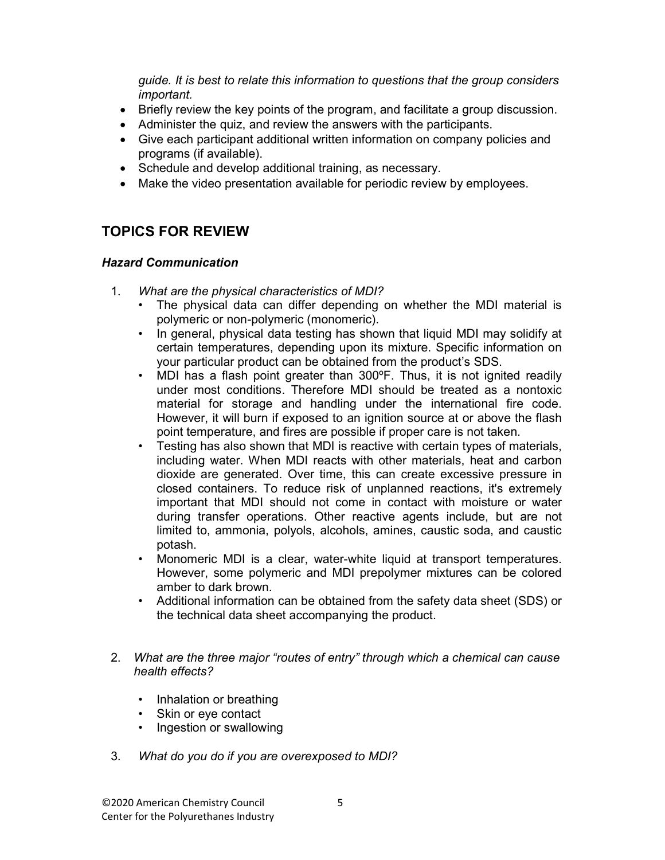guide. It is best to relate this information to questions that the group considers important.

- Briefly review the key points of the program, and facilitate a group discussion.
- Administer the quiz, and review the answers with the participants.
- Give each participant additional written information on company policies and programs (if available).
- Schedule and develop additional training, as necessary.
- Make the video presentation available for periodic review by employees.

## TOPICS FOR REVIEW

#### Hazard Communication

- 1. What are the physical characteristics of MDI?
	- The physical data can differ depending on whether the MDI material is polymeric or non-polymeric (monomeric).
	- In general, physical data testing has shown that liquid MDI may solidify at certain temperatures, depending upon its mixture. Specific information on your particular product can be obtained from the product's SDS.
	- MDI has a flash point greater than 300°F. Thus, it is not ignited readily under most conditions. Therefore MDI should be treated as a nontoxic material for storage and handling under the international fire code. However, it will burn if exposed to an ignition source at or above the flash point temperature, and fires are possible if proper care is not taken.
	- Testing has also shown that MDI is reactive with certain types of materials, including water. When MDI reacts with other materials, heat and carbon dioxide are generated. Over time, this can create excessive pressure in closed containers. To reduce risk of unplanned reactions, it's extremely important that MDI should not come in contact with moisture or water during transfer operations. Other reactive agents include, but are not limited to, ammonia, polyols, alcohols, amines, caustic soda, and caustic potash.
	- Monomeric MDI is a clear, water-white liquid at transport temperatures. However, some polymeric and MDI prepolymer mixtures can be colored amber to dark brown.
	- Additional information can be obtained from the safety data sheet (SDS) or the technical data sheet accompanying the product.
- 2. What are the three major "routes of entry" through which a chemical can cause health effects?
	- Inhalation or breathing
	- Skin or eye contact
	- Ingestion or swallowing
- 3. What do you do if you are overexposed to MDI?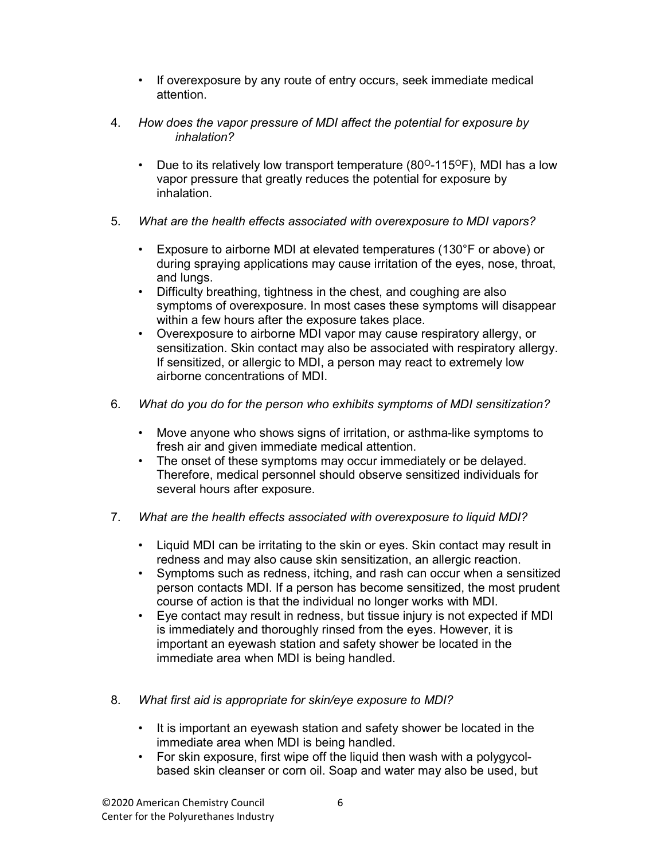- If overexposure by any route of entry occurs, seek immediate medical attention.
- 4. How does the vapor pressure of MDI affect the potential for exposure by inhalation?
	- Due to its relatively low transport temperature  $(80^{\circ} 115^{\circ}F)$ , MDI has a low vapor pressure that greatly reduces the potential for exposure by inhalation.
- 5. What are the health effects associated with overexposure to MDI vapors?
	- Exposure to airborne MDI at elevated temperatures (130°F or above) or during spraying applications may cause irritation of the eyes, nose, throat, and lungs.
	- Difficulty breathing, tightness in the chest, and coughing are also symptoms of overexposure. In most cases these symptoms will disappear within a few hours after the exposure takes place.
	- Overexposure to airborne MDI vapor may cause respiratory allergy, or sensitization. Skin contact may also be associated with respiratory allergy. If sensitized, or allergic to MDI, a person may react to extremely low airborne concentrations of MDI.
- 6. What do you do for the person who exhibits symptoms of MDI sensitization?
	- Move anyone who shows signs of irritation, or asthma-like symptoms to fresh air and given immediate medical attention.
	- The onset of these symptoms may occur immediately or be delayed. Therefore, medical personnel should observe sensitized individuals for several hours after exposure.
- 7. What are the health effects associated with overexposure to liquid MDI?
	- Liquid MDI can be irritating to the skin or eyes. Skin contact may result in redness and may also cause skin sensitization, an allergic reaction.
	- Symptoms such as redness, itching, and rash can occur when a sensitized person contacts MDI. If a person has become sensitized, the most prudent course of action is that the individual no longer works with MDI.
	- Eye contact may result in redness, but tissue injury is not expected if MDI is immediately and thoroughly rinsed from the eyes. However, it is important an eyewash station and safety shower be located in the immediate area when MDI is being handled.
- 8. What first aid is appropriate for skin/eye exposure to MDI?
	- It is important an eyewash station and safety shower be located in the immediate area when MDI is being handled.
	- For skin exposure, first wipe off the liquid then wash with a polygycolbased skin cleanser or corn oil. Soap and water may also be used, but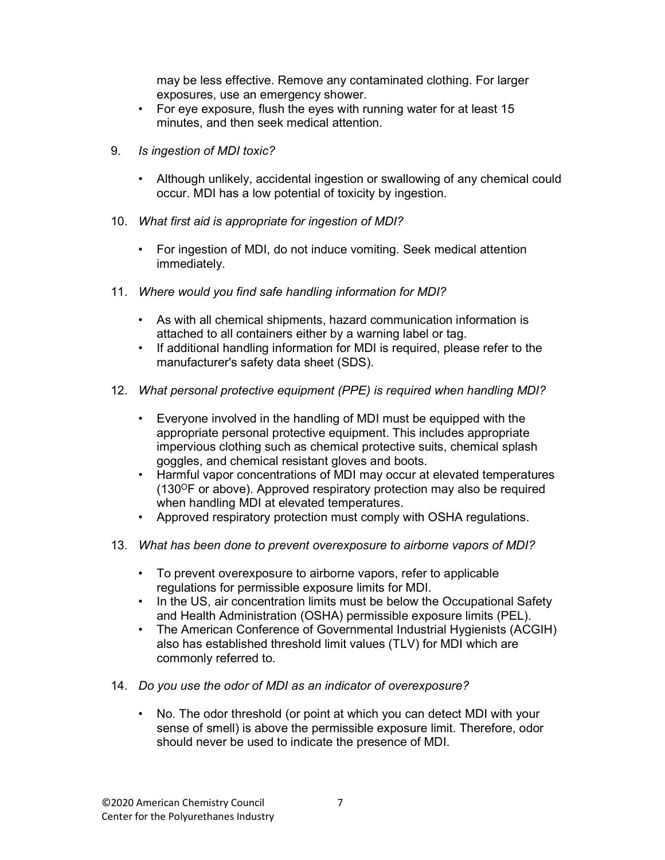may be less effective. Remove any contaminated clothing. For larger exposures, use an emergency shower.

- For eye exposure, flush the eyes with running water for at least 15 minutes, and then seek medical attention.
- 9. Is ingestion of MDI toxic?
	- Although unlikely, accidental ingestion or swallowing of any chemical could occur. MDI has a low potential of toxicity by ingestion.
- 10. What first aid is appropriate for ingestion of MDI?
	- For ingestion of MDI, do not induce vomiting. Seek medical attention immediately.
- 11. Where would you find safe handling information for MDI?
	- As with all chemical shipments, hazard communication information is attached to all containers either by a warning label or tag.
	- If additional handling information for MDI is required, please refer to the manufacturer's safety data sheet (SDS).
- 12. What personal protective equipment (PPE) is required when handling MDI?
	- Everyone involved in the handling of MDI must be equipped with the appropriate personal protective equipment. This includes appropriate impervious clothing such as chemical protective suits, chemical splash goggles, and chemical resistant gloves and boots.
	- Harmful vapor concentrations of MDI may occur at elevated temperatures (130<sup>O</sup>F or above). Approved respiratory protection may also be required when handling MDI at elevated temperatures.
	- Approved respiratory protection must comply with OSHA regulations.
- 13. What has been done to prevent overexposure to airborne vapors of MDI?
	- To prevent overexposure to airborne vapors, refer to applicable regulations for permissible exposure limits for MDI.
	- In the US, air concentration limits must be below the Occupational Safety and Health Administration (OSHA) permissible exposure limits (PEL).
	- The American Conference of Governmental Industrial Hygienists (ACGIH) also has established threshold limit values (TLV) for MDI which are commonly referred to.
- 14. Do you use the odor of MDI as an indicator of overexposure?
	- No. The odor threshold (or point at which you can detect MDI with your sense of smell) is above the permissible exposure limit. Therefore, odor should never be used to indicate the presence of MDI.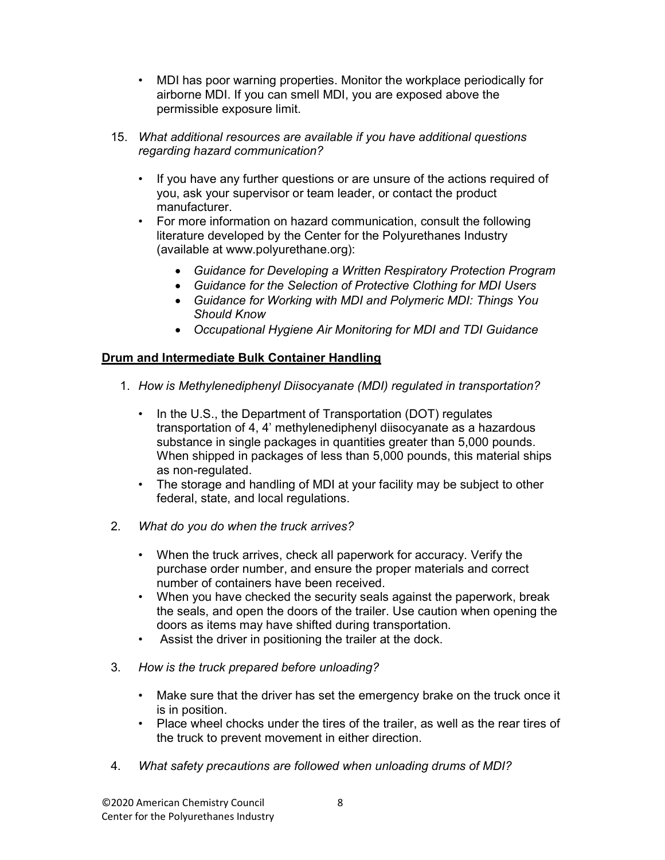- MDI has poor warning properties. Monitor the workplace periodically for airborne MDI. If you can smell MDI, you are exposed above the permissible exposure limit.
- 15. What additional resources are available if you have additional questions regarding hazard communication?
	- If you have any further questions or are unsure of the actions required of you, ask your supervisor or team leader, or contact the product manufacturer.
	- For more information on hazard communication, consult the following literature developed by the Center for the Polyurethanes Industry (available at www.polyurethane.org):
		- Guidance for Developing a Written Respiratory Protection Program
		- Guidance for the Selection of Protective Clothing for MDI Users
		- Guidance for Working with MDI and Polymeric MDI: Things You Should Know
		- Occupational Hygiene Air Monitoring for MDI and TDI Guidance

#### Drum and Intermediate Bulk Container Handling

- 1. How is Methylenediphenyl Diisocyanate (MDI) regulated in transportation?
	- In the U.S., the Department of Transportation (DOT) regulates transportation of 4, 4' methylenediphenyl diisocyanate as a hazardous substance in single packages in quantities greater than 5,000 pounds. When shipped in packages of less than 5,000 pounds, this material ships as non-regulated.
	- The storage and handling of MDI at your facility may be subject to other federal, state, and local regulations.
- 2. What do you do when the truck arrives?
	- When the truck arrives, check all paperwork for accuracy. Verify the purchase order number, and ensure the proper materials and correct number of containers have been received.
	- When you have checked the security seals against the paperwork, break the seals, and open the doors of the trailer. Use caution when opening the doors as items may have shifted during transportation.
	- Assist the driver in positioning the trailer at the dock.
- 3. How is the truck prepared before unloading?
	- Make sure that the driver has set the emergency brake on the truck once it is in position.
	- Place wheel chocks under the tires of the trailer, as well as the rear tires of the truck to prevent movement in either direction.
- 4. What safety precautions are followed when unloading drums of MDI?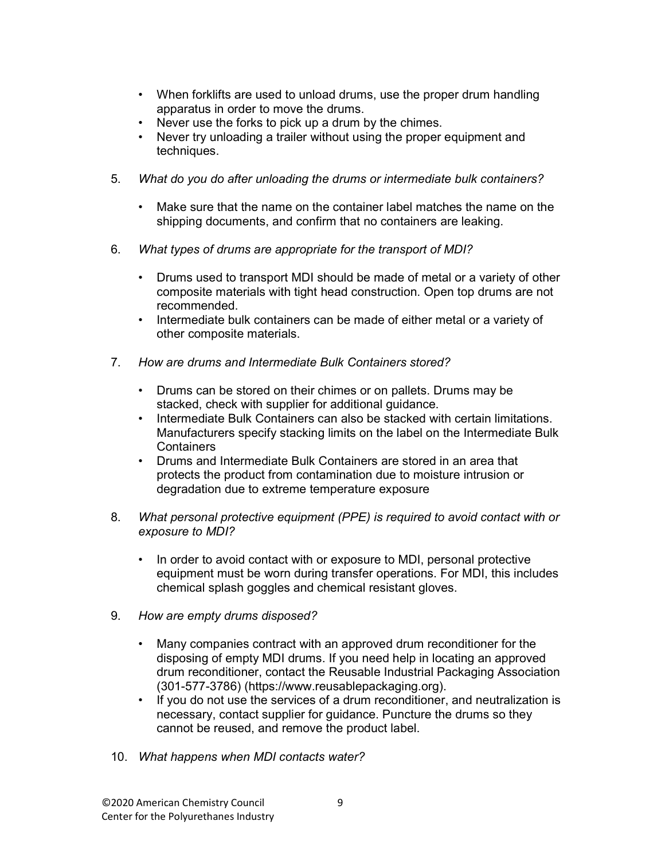- When forklifts are used to unload drums, use the proper drum handling apparatus in order to move the drums.
- Never use the forks to pick up a drum by the chimes.
- Never try unloading a trailer without using the proper equipment and techniques.
- 5. What do you do after unloading the drums or intermediate bulk containers?
	- Make sure that the name on the container label matches the name on the shipping documents, and confirm that no containers are leaking.
- 6. What types of drums are appropriate for the transport of MDI?
	- Drums used to transport MDI should be made of metal or a variety of other composite materials with tight head construction. Open top drums are not recommended.
	- Intermediate bulk containers can be made of either metal or a variety of other composite materials.
- 7. How are drums and Intermediate Bulk Containers stored?
	- Drums can be stored on their chimes or on pallets. Drums may be stacked, check with supplier for additional guidance.
	- Intermediate Bulk Containers can also be stacked with certain limitations. Manufacturers specify stacking limits on the label on the Intermediate Bulk **Containers**
	- Drums and Intermediate Bulk Containers are stored in an area that protects the product from contamination due to moisture intrusion or degradation due to extreme temperature exposure
- 8. What personal protective equipment (PPE) is required to avoid contact with or exposure to MDI?
	- In order to avoid contact with or exposure to MDI, personal protective equipment must be worn during transfer operations. For MDI, this includes chemical splash goggles and chemical resistant gloves.
- 9. How are empty drums disposed?
	- Many companies contract with an approved drum reconditioner for the disposing of empty MDI drums. If you need help in locating an approved drum reconditioner, contact the Reusable Industrial Packaging Association (301-577-3786) (https://www.reusablepackaging.org).
	- If you do not use the services of a drum reconditioner, and neutralization is necessary, contact supplier for guidance. Puncture the drums so they cannot be reused, and remove the product label.
- 10. What happens when MDI contacts water?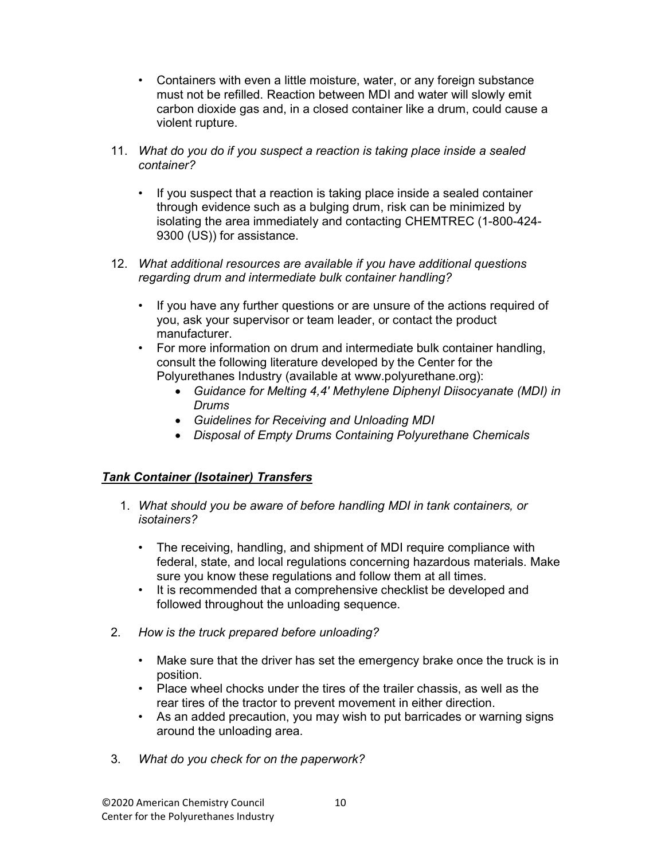- Containers with even a little moisture, water, or any foreign substance must not be refilled. Reaction between MDI and water will slowly emit carbon dioxide gas and, in a closed container like a drum, could cause a violent rupture.
- 11. What do you do if you suspect a reaction is taking place inside a sealed container?
	- If you suspect that a reaction is taking place inside a sealed container through evidence such as a bulging drum, risk can be minimized by isolating the area immediately and contacting CHEMTREC (1-800-424- 9300 (US)) for assistance.
- 12. What additional resources are available if you have additional questions regarding drum and intermediate bulk container handling?
	- If you have any further questions or are unsure of the actions required of you, ask your supervisor or team leader, or contact the product manufacturer.
	- For more information on drum and intermediate bulk container handling, consult the following literature developed by the Center for the Polyurethanes Industry (available at www.polyurethane.org):
		- Guidance for Melting 4,4' Methylene Diphenyl Diisocyanate (MDI) in Drums
		- Guidelines for Receiving and Unloading MDI
		- Disposal of Empty Drums Containing Polyurethane Chemicals

### Tank Container (Isotainer) Transfers

- 1. What should you be aware of before handling MDI in tank containers, or isotainers?
	- The receiving, handling, and shipment of MDI require compliance with federal, state, and local regulations concerning hazardous materials. Make sure you know these regulations and follow them at all times.
	- It is recommended that a comprehensive checklist be developed and followed throughout the unloading sequence.
- 2. How is the truck prepared before unloading?
	- Make sure that the driver has set the emergency brake once the truck is in position.
	- Place wheel chocks under the tires of the trailer chassis, as well as the rear tires of the tractor to prevent movement in either direction.
	- As an added precaution, you may wish to put barricades or warning signs around the unloading area.
- 3. What do you check for on the paperwork?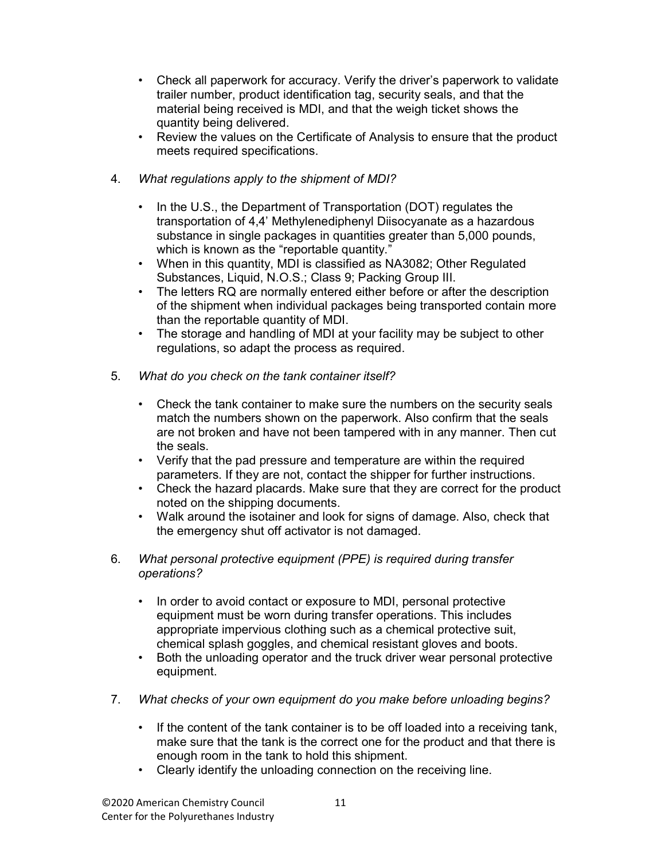- Check all paperwork for accuracy. Verify the driver's paperwork to validate trailer number, product identification tag, security seals, and that the material being received is MDI, and that the weigh ticket shows the quantity being delivered.
- Review the values on the Certificate of Analysis to ensure that the product meets required specifications.
- 4. What regulations apply to the shipment of MDI?
	- In the U.S., the Department of Transportation (DOT) regulates the transportation of 4,4' Methylenediphenyl Diisocyanate as a hazardous substance in single packages in quantities greater than 5,000 pounds, which is known as the "reportable quantity."
	- When in this quantity, MDI is classified as NA3082; Other Regulated Substances, Liquid, N.O.S.; Class 9; Packing Group III.
	- The letters RQ are normally entered either before or after the description of the shipment when individual packages being transported contain more than the reportable quantity of MDI.
	- The storage and handling of MDI at your facility may be subject to other regulations, so adapt the process as required.
- 5. What do you check on the tank container itself?
	- Check the tank container to make sure the numbers on the security seals match the numbers shown on the paperwork. Also confirm that the seals are not broken and have not been tampered with in any manner. Then cut the seals.
	- Verify that the pad pressure and temperature are within the required parameters. If they are not, contact the shipper for further instructions.
	- Check the hazard placards. Make sure that they are correct for the product noted on the shipping documents.
	- Walk around the isotainer and look for signs of damage. Also, check that the emergency shut off activator is not damaged.
- 6. What personal protective equipment (PPE) is required during transfer operations?
	- In order to avoid contact or exposure to MDI, personal protective equipment must be worn during transfer operations. This includes appropriate impervious clothing such as a chemical protective suit, chemical splash goggles, and chemical resistant gloves and boots.
	- Both the unloading operator and the truck driver wear personal protective equipment.
- 7. What checks of your own equipment do you make before unloading begins?
	- If the content of the tank container is to be off loaded into a receiving tank, make sure that the tank is the correct one for the product and that there is enough room in the tank to hold this shipment.
	- Clearly identify the unloading connection on the receiving line.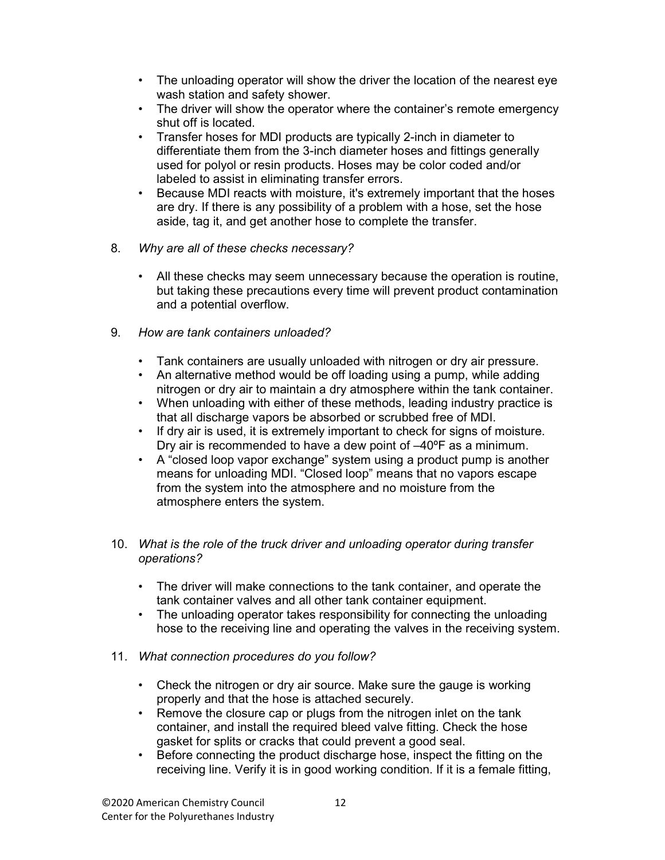- The unloading operator will show the driver the location of the nearest eye wash station and safety shower.
- The driver will show the operator where the container's remote emergency shut off is located.
- Transfer hoses for MDI products are typically 2-inch in diameter to differentiate them from the 3-inch diameter hoses and fittings generally used for polyol or resin products. Hoses may be color coded and/or labeled to assist in eliminating transfer errors.
- Because MDI reacts with moisture, it's extremely important that the hoses are dry. If there is any possibility of a problem with a hose, set the hose aside, tag it, and get another hose to complete the transfer.
- 8. Why are all of these checks necessary?
	- All these checks may seem unnecessary because the operation is routine, but taking these precautions every time will prevent product contamination and a potential overflow.
- 9. How are tank containers unloaded?
	- Tank containers are usually unloaded with nitrogen or dry air pressure.
	- An alternative method would be off loading using a pump, while adding nitrogen or dry air to maintain a dry atmosphere within the tank container.
	- When unloading with either of these methods, leading industry practice is that all discharge vapors be absorbed or scrubbed free of MDI.
	- If dry air is used, it is extremely important to check for signs of moisture. Dry air is recommended to have a dew point of –40ºF as a minimum.
	- A "closed loop vapor exchange" system using a product pump is another means for unloading MDI. "Closed loop" means that no vapors escape from the system into the atmosphere and no moisture from the atmosphere enters the system.
- 10. What is the role of the truck driver and unloading operator during transfer operations?
	- The driver will make connections to the tank container, and operate the tank container valves and all other tank container equipment.
	- The unloading operator takes responsibility for connecting the unloading hose to the receiving line and operating the valves in the receiving system.
- 11. What connection procedures do you follow?
	- Check the nitrogen or dry air source. Make sure the gauge is working properly and that the hose is attached securely.
	- Remove the closure cap or plugs from the nitrogen inlet on the tank container, and install the required bleed valve fitting. Check the hose gasket for splits or cracks that could prevent a good seal.
	- Before connecting the product discharge hose, inspect the fitting on the receiving line. Verify it is in good working condition. If it is a female fitting,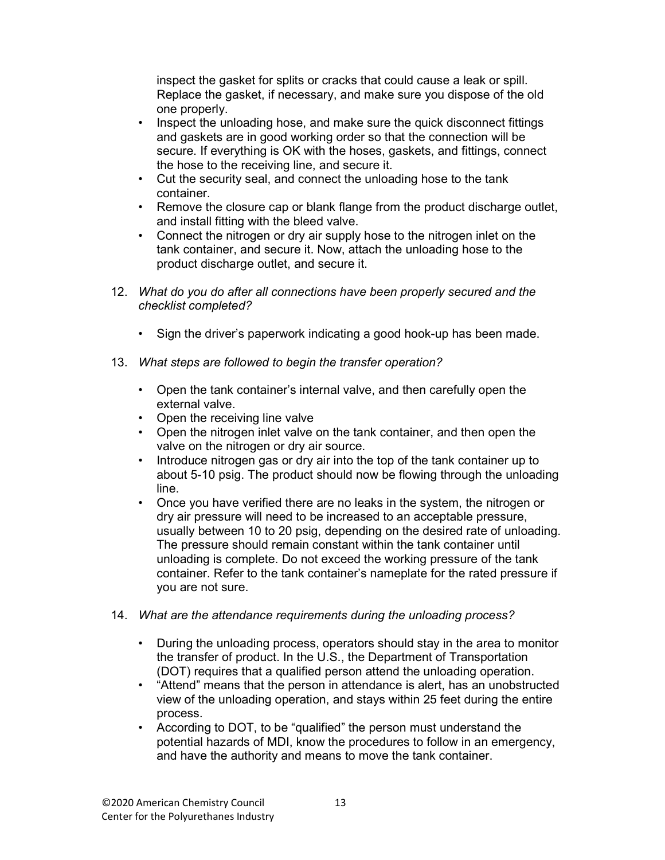inspect the gasket for splits or cracks that could cause a leak or spill. Replace the gasket, if necessary, and make sure you dispose of the old one properly.

- Inspect the unloading hose, and make sure the quick disconnect fittings and gaskets are in good working order so that the connection will be secure. If everything is OK with the hoses, gaskets, and fittings, connect the hose to the receiving line, and secure it.
- Cut the security seal, and connect the unloading hose to the tank container.
- Remove the closure cap or blank flange from the product discharge outlet, and install fitting with the bleed valve.
- Connect the nitrogen or dry air supply hose to the nitrogen inlet on the tank container, and secure it. Now, attach the unloading hose to the product discharge outlet, and secure it.
- 12. What do you do after all connections have been properly secured and the checklist completed?
	- Sign the driver's paperwork indicating a good hook-up has been made.
- 13. What steps are followed to begin the transfer operation?
	- Open the tank container's internal valve, and then carefully open the external valve.
	- Open the receiving line valve
	- Open the nitrogen inlet valve on the tank container, and then open the valve on the nitrogen or dry air source.
	- Introduce nitrogen gas or dry air into the top of the tank container up to about 5-10 psig. The product should now be flowing through the unloading line.
	- Once you have verified there are no leaks in the system, the nitrogen or dry air pressure will need to be increased to an acceptable pressure, usually between 10 to 20 psig, depending on the desired rate of unloading. The pressure should remain constant within the tank container until unloading is complete. Do not exceed the working pressure of the tank container. Refer to the tank container's nameplate for the rated pressure if you are not sure.
- 14. What are the attendance requirements during the unloading process?
	- During the unloading process, operators should stay in the area to monitor the transfer of product. In the U.S., the Department of Transportation (DOT) requires that a qualified person attend the unloading operation.
	- "Attend" means that the person in attendance is alert, has an unobstructed view of the unloading operation, and stays within 25 feet during the entire process.
	- According to DOT, to be "qualified" the person must understand the potential hazards of MDI, know the procedures to follow in an emergency, and have the authority and means to move the tank container.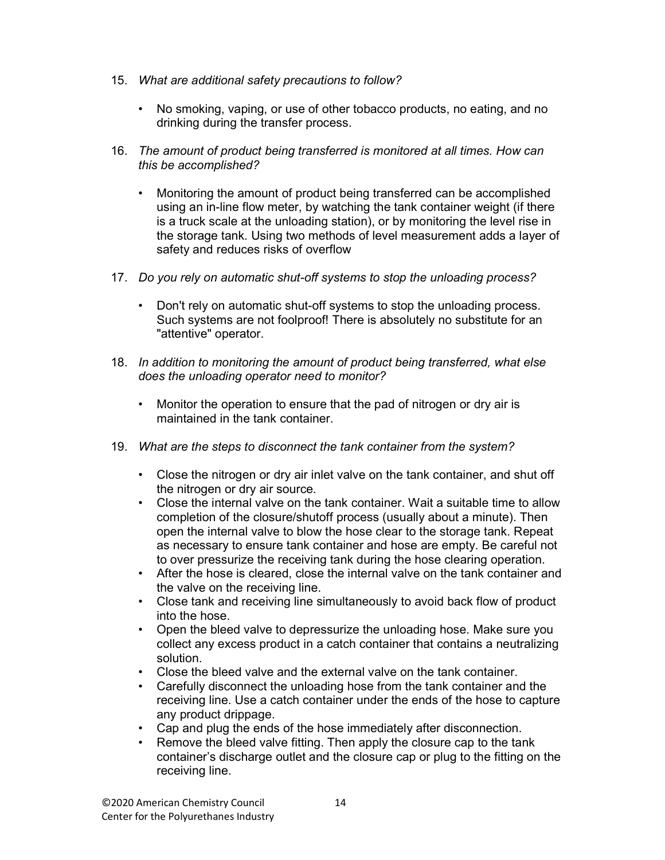- 15. What are additional safety precautions to follow?
	- No smoking, vaping, or use of other tobacco products, no eating, and no drinking during the transfer process.
- 16. The amount of product being transferred is monitored at all times. How can this be accomplished?
	- Monitoring the amount of product being transferred can be accomplished using an in-line flow meter, by watching the tank container weight (if there is a truck scale at the unloading station), or by monitoring the level rise in the storage tank. Using two methods of level measurement adds a layer of safety and reduces risks of overflow
- 17. Do you rely on automatic shut-off systems to stop the unloading process?
	- Don't rely on automatic shut-off systems to stop the unloading process. Such systems are not foolproof! There is absolutely no substitute for an "attentive" operator.
- 18. In addition to monitoring the amount of product being transferred, what else does the unloading operator need to monitor?
	- Monitor the operation to ensure that the pad of nitrogen or dry air is maintained in the tank container.
- 19. What are the steps to disconnect the tank container from the system?
	- Close the nitrogen or dry air inlet valve on the tank container, and shut off the nitrogen or dry air source.
	- Close the internal valve on the tank container. Wait a suitable time to allow completion of the closure/shutoff process (usually about a minute). Then open the internal valve to blow the hose clear to the storage tank. Repeat as necessary to ensure tank container and hose are empty. Be careful not to over pressurize the receiving tank during the hose clearing operation.
	- After the hose is cleared, close the internal valve on the tank container and the valve on the receiving line.
	- Close tank and receiving line simultaneously to avoid back flow of product into the hose.
	- Open the bleed valve to depressurize the unloading hose. Make sure you collect any excess product in a catch container that contains a neutralizing solution.
	- Close the bleed valve and the external valve on the tank container.
	- Carefully disconnect the unloading hose from the tank container and the receiving line. Use a catch container under the ends of the hose to capture any product drippage.
	- Cap and plug the ends of the hose immediately after disconnection.
	- Remove the bleed valve fitting. Then apply the closure cap to the tank container's discharge outlet and the closure cap or plug to the fitting on the receiving line.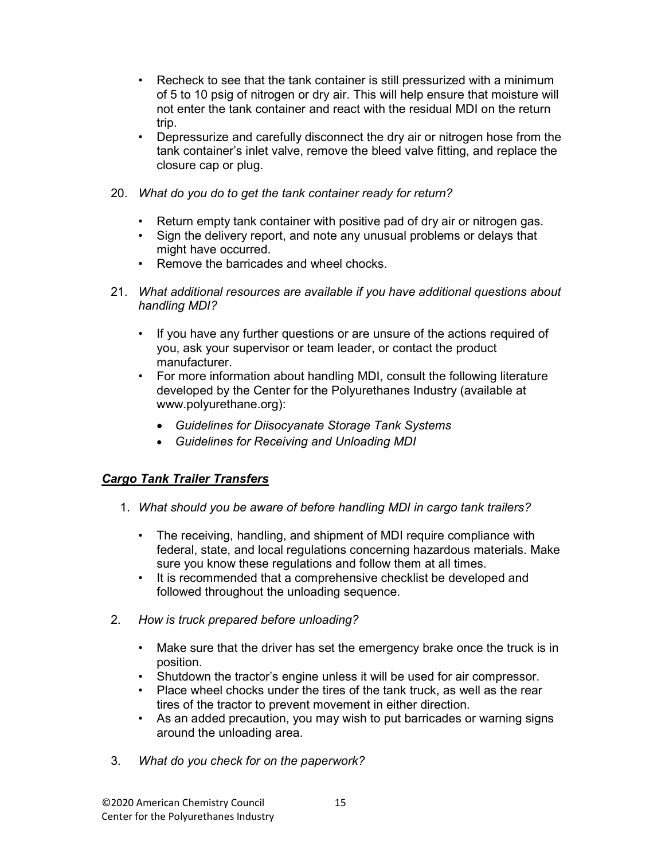- Recheck to see that the tank container is still pressurized with a minimum of 5 to 10 psig of nitrogen or dry air. This will help ensure that moisture will not enter the tank container and react with the residual MDI on the return trip.
- Depressurize and carefully disconnect the dry air or nitrogen hose from the tank container's inlet valve, remove the bleed valve fitting, and replace the closure cap or plug.
- 20. What do you do to get the tank container ready for return?
	- Return empty tank container with positive pad of dry air or nitrogen gas.
	- Sign the delivery report, and note any unusual problems or delays that might have occurred.
	- Remove the barricades and wheel chocks.
- 21. What additional resources are available if you have additional questions about handling MDI?
	- If you have any further questions or are unsure of the actions required of you, ask your supervisor or team leader, or contact the product manufacturer.
	- For more information about handling MDI, consult the following literature developed by the Center for the Polyurethanes Industry (available at www.polyurethane.org):
		- Guidelines for Diisocyanate Storage Tank Systems
		- Guidelines for Receiving and Unloading MDI

#### Cargo Tank Trailer Transfers

- 1. What should you be aware of before handling MDI in cargo tank trailers?
	- The receiving, handling, and shipment of MDI require compliance with federal, state, and local regulations concerning hazardous materials. Make sure you know these regulations and follow them at all times.
	- It is recommended that a comprehensive checklist be developed and followed throughout the unloading sequence.
- 2. How is truck prepared before unloading?
	- Make sure that the driver has set the emergency brake once the truck is in position.
	- Shutdown the tractor's engine unless it will be used for air compressor.
	- Place wheel chocks under the tires of the tank truck, as well as the rear tires of the tractor to prevent movement in either direction.
	- As an added precaution, you may wish to put barricades or warning signs around the unloading area.
- 3. What do you check for on the paperwork?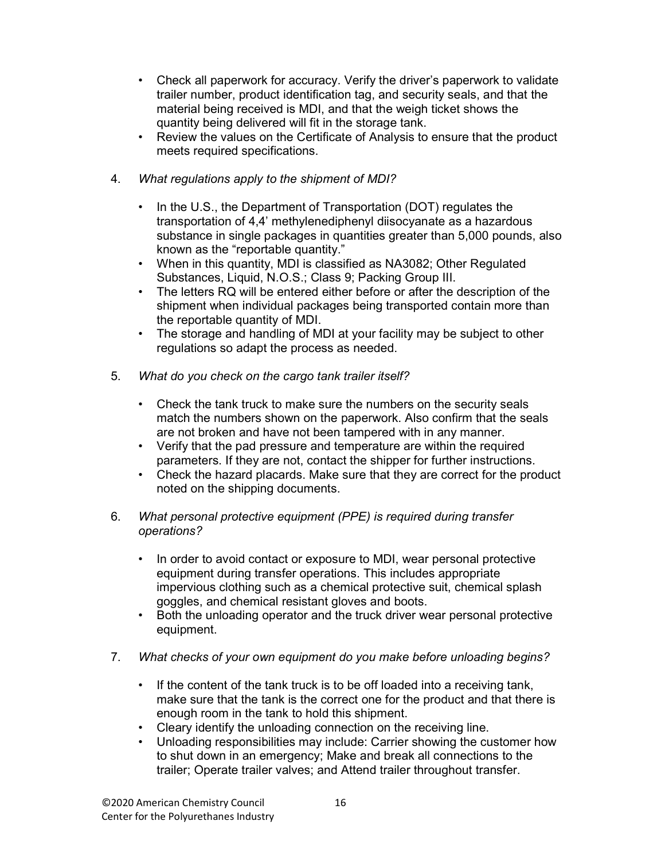- Check all paperwork for accuracy. Verify the driver's paperwork to validate trailer number, product identification tag, and security seals, and that the material being received is MDI, and that the weigh ticket shows the quantity being delivered will fit in the storage tank.
- Review the values on the Certificate of Analysis to ensure that the product meets required specifications.
- 4. What regulations apply to the shipment of MDI?
	- In the U.S., the Department of Transportation (DOT) regulates the transportation of 4,4' methylenediphenyl diisocyanate as a hazardous substance in single packages in quantities greater than 5,000 pounds, also known as the "reportable quantity."
	- When in this quantity, MDI is classified as NA3082; Other Regulated Substances, Liquid, N.O.S.; Class 9; Packing Group III.
	- The letters RQ will be entered either before or after the description of the shipment when individual packages being transported contain more than the reportable quantity of MDI.
	- The storage and handling of MDI at your facility may be subject to other regulations so adapt the process as needed.
- 5. What do you check on the cargo tank trailer itself?
	- Check the tank truck to make sure the numbers on the security seals match the numbers shown on the paperwork. Also confirm that the seals are not broken and have not been tampered with in any manner.
	- Verify that the pad pressure and temperature are within the required parameters. If they are not, contact the shipper for further instructions.
	- Check the hazard placards. Make sure that they are correct for the product noted on the shipping documents.
- 6. What personal protective equipment (PPE) is required during transfer operations?
	- In order to avoid contact or exposure to MDI, wear personal protective equipment during transfer operations. This includes appropriate impervious clothing such as a chemical protective suit, chemical splash goggles, and chemical resistant gloves and boots.
	- Both the unloading operator and the truck driver wear personal protective equipment.
- 7. What checks of your own equipment do you make before unloading begins?
	- If the content of the tank truck is to be off loaded into a receiving tank, make sure that the tank is the correct one for the product and that there is enough room in the tank to hold this shipment.
	- Cleary identify the unloading connection on the receiving line.
	- Unloading responsibilities may include: Carrier showing the customer how to shut down in an emergency; Make and break all connections to the trailer; Operate trailer valves; and Attend trailer throughout transfer.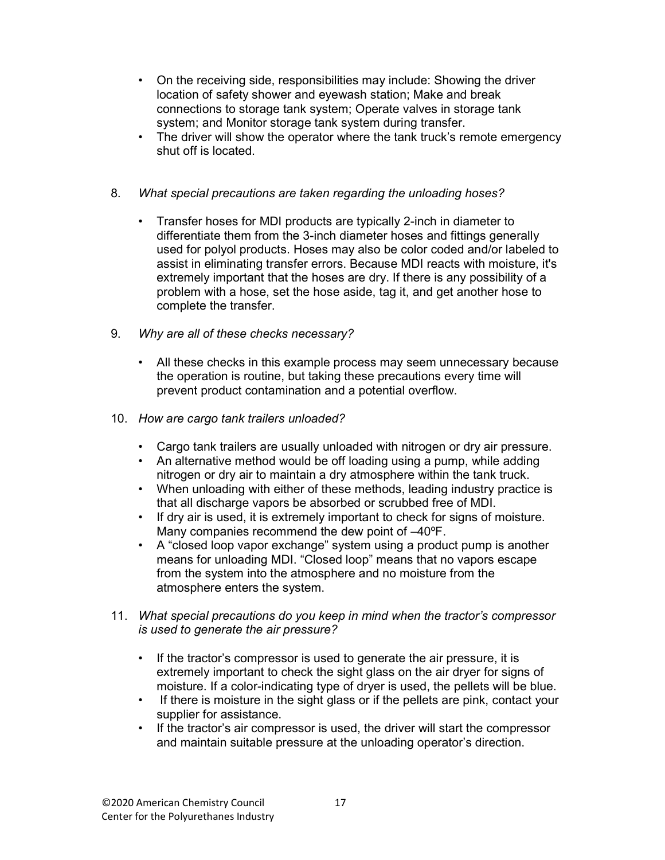- On the receiving side, responsibilities may include: Showing the driver location of safety shower and eyewash station; Make and break connections to storage tank system; Operate valves in storage tank system; and Monitor storage tank system during transfer.
- The driver will show the operator where the tank truck's remote emergency shut off is located.

#### 8. What special precautions are taken regarding the unloading hoses?

- Transfer hoses for MDI products are typically 2-inch in diameter to differentiate them from the 3-inch diameter hoses and fittings generally used for polyol products. Hoses may also be color coded and/or labeled to assist in eliminating transfer errors. Because MDI reacts with moisture, it's extremely important that the hoses are dry. If there is any possibility of a problem with a hose, set the hose aside, tag it, and get another hose to complete the transfer.
- 9. Why are all of these checks necessary?
	- All these checks in this example process may seem unnecessary because the operation is routine, but taking these precautions every time will prevent product contamination and a potential overflow.
- 10. How are cargo tank trailers unloaded?
	- Cargo tank trailers are usually unloaded with nitrogen or dry air pressure.
	- An alternative method would be off loading using a pump, while adding nitrogen or dry air to maintain a dry atmosphere within the tank truck.
	- When unloading with either of these methods, leading industry practice is that all discharge vapors be absorbed or scrubbed free of MDI.
	- If dry air is used, it is extremely important to check for signs of moisture. Many companies recommend the dew point of –40ºF.
	- A "closed loop vapor exchange" system using a product pump is another means for unloading MDI. "Closed loop" means that no vapors escape from the system into the atmosphere and no moisture from the atmosphere enters the system.
- 11. What special precautions do you keep in mind when the tractor's compressor is used to generate the air pressure?
	- If the tractor's compressor is used to generate the air pressure, it is extremely important to check the sight glass on the air dryer for signs of moisture. If a color-indicating type of dryer is used, the pellets will be blue.
	- If there is moisture in the sight glass or if the pellets are pink, contact your supplier for assistance.
	- If the tractor's air compressor is used, the driver will start the compressor and maintain suitable pressure at the unloading operator's direction.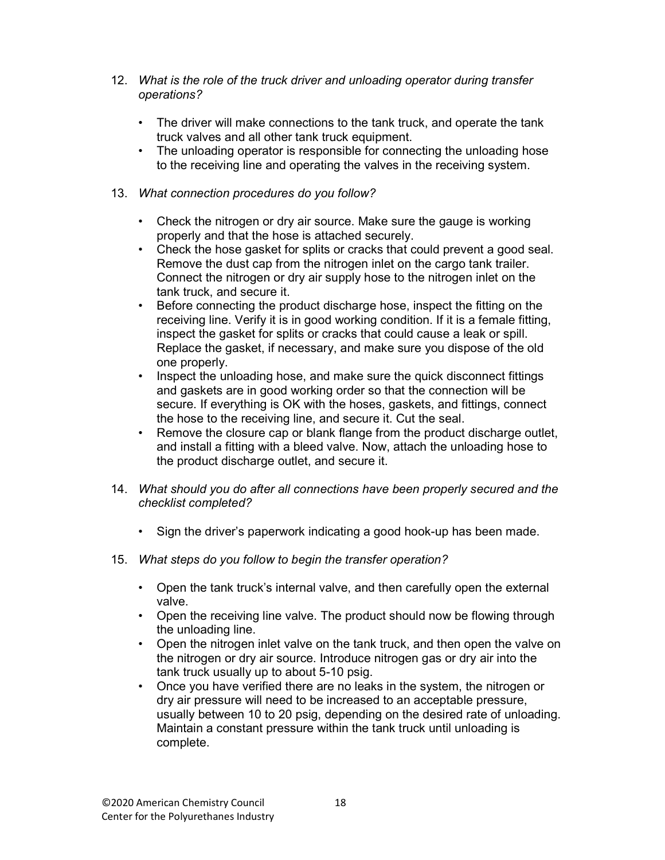- 12. What is the role of the truck driver and unloading operator during transfer operations?
	- The driver will make connections to the tank truck, and operate the tank truck valves and all other tank truck equipment.
	- The unloading operator is responsible for connecting the unloading hose to the receiving line and operating the valves in the receiving system.
- 13. What connection procedures do you follow?
	- Check the nitrogen or dry air source. Make sure the gauge is working properly and that the hose is attached securely.
	- Check the hose gasket for splits or cracks that could prevent a good seal. Remove the dust cap from the nitrogen inlet on the cargo tank trailer. Connect the nitrogen or dry air supply hose to the nitrogen inlet on the tank truck, and secure it.
	- Before connecting the product discharge hose, inspect the fitting on the receiving line. Verify it is in good working condition. If it is a female fitting, inspect the gasket for splits or cracks that could cause a leak or spill. Replace the gasket, if necessary, and make sure you dispose of the old one properly.
	- Inspect the unloading hose, and make sure the quick disconnect fittings and gaskets are in good working order so that the connection will be secure. If everything is OK with the hoses, gaskets, and fittings, connect the hose to the receiving line, and secure it. Cut the seal.
	- Remove the closure cap or blank flange from the product discharge outlet, and install a fitting with a bleed valve. Now, attach the unloading hose to the product discharge outlet, and secure it.
- 14. What should you do after all connections have been properly secured and the checklist completed?
	- Sign the driver's paperwork indicating a good hook-up has been made.
- 15. What steps do you follow to begin the transfer operation?
	- Open the tank truck's internal valve, and then carefully open the external valve.
	- Open the receiving line valve. The product should now be flowing through the unloading line.
	- Open the nitrogen inlet valve on the tank truck, and then open the valve on the nitrogen or dry air source. Introduce nitrogen gas or dry air into the tank truck usually up to about 5-10 psig.
	- Once you have verified there are no leaks in the system, the nitrogen or dry air pressure will need to be increased to an acceptable pressure, usually between 10 to 20 psig, depending on the desired rate of unloading. Maintain a constant pressure within the tank truck until unloading is complete.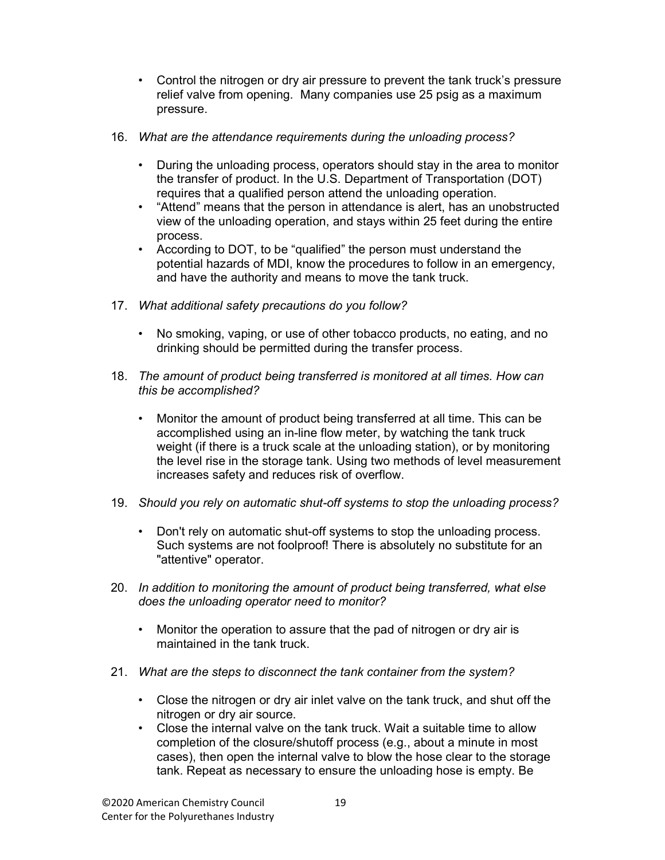- Control the nitrogen or dry air pressure to prevent the tank truck's pressure relief valve from opening. Many companies use 25 psig as a maximum pressure.
- 16. What are the attendance requirements during the unloading process?
	- During the unloading process, operators should stay in the area to monitor the transfer of product. In the U.S. Department of Transportation (DOT) requires that a qualified person attend the unloading operation.
	- "Attend" means that the person in attendance is alert, has an unobstructed view of the unloading operation, and stays within 25 feet during the entire process.
	- According to DOT, to be "qualified" the person must understand the potential hazards of MDI, know the procedures to follow in an emergency, and have the authority and means to move the tank truck.
- 17. What additional safety precautions do you follow?
	- No smoking, vaping, or use of other tobacco products, no eating, and no drinking should be permitted during the transfer process.
- 18. The amount of product being transferred is monitored at all times. How can this be accomplished?
	- Monitor the amount of product being transferred at all time. This can be accomplished using an in-line flow meter, by watching the tank truck weight (if there is a truck scale at the unloading station), or by monitoring the level rise in the storage tank. Using two methods of level measurement increases safety and reduces risk of overflow.
- 19. Should you rely on automatic shut-off systems to stop the unloading process?
	- Don't rely on automatic shut-off systems to stop the unloading process. Such systems are not foolproof! There is absolutely no substitute for an "attentive" operator.
- 20. In addition to monitoring the amount of product being transferred, what else does the unloading operator need to monitor?
	- Monitor the operation to assure that the pad of nitrogen or dry air is maintained in the tank truck.
- 21. What are the steps to disconnect the tank container from the system?
	- Close the nitrogen or dry air inlet valve on the tank truck, and shut off the nitrogen or dry air source.
	- Close the internal valve on the tank truck. Wait a suitable time to allow completion of the closure/shutoff process (e.g., about a minute in most cases), then open the internal valve to blow the hose clear to the storage tank. Repeat as necessary to ensure the unloading hose is empty. Be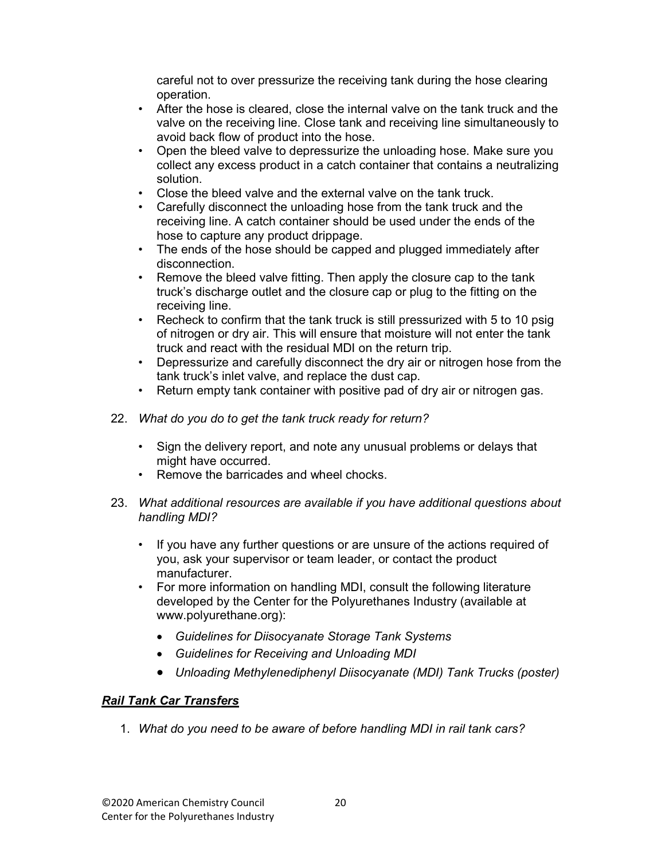careful not to over pressurize the receiving tank during the hose clearing operation.

- After the hose is cleared, close the internal valve on the tank truck and the valve on the receiving line. Close tank and receiving line simultaneously to avoid back flow of product into the hose.
- Open the bleed valve to depressurize the unloading hose. Make sure you collect any excess product in a catch container that contains a neutralizing solution.
- Close the bleed valve and the external valve on the tank truck.
- Carefully disconnect the unloading hose from the tank truck and the receiving line. A catch container should be used under the ends of the hose to capture any product drippage.
- The ends of the hose should be capped and plugged immediately after disconnection.
- Remove the bleed valve fitting. Then apply the closure cap to the tank truck's discharge outlet and the closure cap or plug to the fitting on the receiving line.
- Recheck to confirm that the tank truck is still pressurized with 5 to 10 psig of nitrogen or dry air. This will ensure that moisture will not enter the tank truck and react with the residual MDI on the return trip.
- Depressurize and carefully disconnect the dry air or nitrogen hose from the tank truck's inlet valve, and replace the dust cap.
- Return empty tank container with positive pad of dry air or nitrogen gas.
- 22. What do you do to get the tank truck ready for return?
	- Sign the delivery report, and note any unusual problems or delays that might have occurred.
	- Remove the barricades and wheel chocks.
- 23. What additional resources are available if you have additional questions about handling MDI?
	- If you have any further questions or are unsure of the actions required of you, ask your supervisor or team leader, or contact the product manufacturer.
	- For more information on handling MDI, consult the following literature developed by the Center for the Polyurethanes Industry (available at www.polyurethane.org):
		- Guidelines for Diisocyanate Storage Tank Systems
		- Guidelines for Receiving and Unloading MDI
		- Unloading Methylenediphenyl Diisocyanate (MDI) Tank Trucks (poster)

#### Rail Tank Car Transfers

1. What do you need to be aware of before handling MDI in rail tank cars?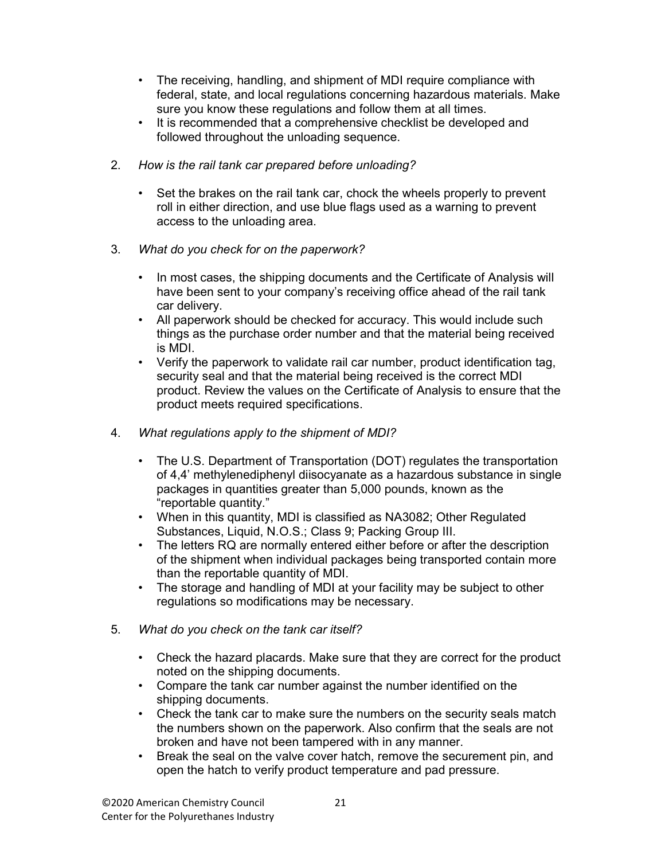- The receiving, handling, and shipment of MDI require compliance with federal, state, and local regulations concerning hazardous materials. Make sure you know these regulations and follow them at all times.
- It is recommended that a comprehensive checklist be developed and followed throughout the unloading sequence.
- 2. How is the rail tank car prepared before unloading?
	- Set the brakes on the rail tank car, chock the wheels properly to prevent roll in either direction, and use blue flags used as a warning to prevent access to the unloading area.
- 3. What do you check for on the paperwork?
	- In most cases, the shipping documents and the Certificate of Analysis will have been sent to your company's receiving office ahead of the rail tank car delivery.
	- All paperwork should be checked for accuracy. This would include such things as the purchase order number and that the material being received is MDI.
	- Verify the paperwork to validate rail car number, product identification tag, security seal and that the material being received is the correct MDI product. Review the values on the Certificate of Analysis to ensure that the product meets required specifications.
- 4. What regulations apply to the shipment of MDI?
	- The U.S. Department of Transportation (DOT) regulates the transportation of 4,4' methylenediphenyl diisocyanate as a hazardous substance in single packages in quantities greater than 5,000 pounds, known as the "reportable quantity."
	- When in this quantity, MDI is classified as NA3082; Other Regulated Substances, Liquid, N.O.S.; Class 9; Packing Group III.
	- The letters RQ are normally entered either before or after the description of the shipment when individual packages being transported contain more than the reportable quantity of MDI.
	- The storage and handling of MDI at your facility may be subject to other regulations so modifications may be necessary.
- 5. What do you check on the tank car itself?
	- Check the hazard placards. Make sure that they are correct for the product noted on the shipping documents.
	- Compare the tank car number against the number identified on the shipping documents.
	- Check the tank car to make sure the numbers on the security seals match the numbers shown on the paperwork. Also confirm that the seals are not broken and have not been tampered with in any manner.
	- Break the seal on the valve cover hatch, remove the securement pin, and open the hatch to verify product temperature and pad pressure.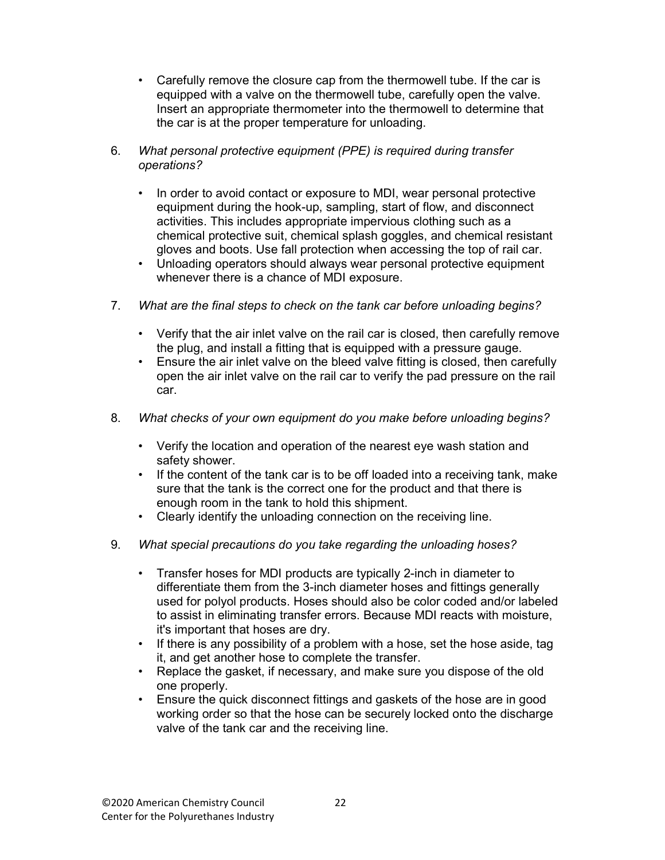- Carefully remove the closure cap from the thermowell tube. If the car is equipped with a valve on the thermowell tube, carefully open the valve. Insert an appropriate thermometer into the thermowell to determine that the car is at the proper temperature for unloading.
- 6. What personal protective equipment (PPE) is required during transfer operations?
	- In order to avoid contact or exposure to MDI, wear personal protective equipment during the hook-up, sampling, start of flow, and disconnect activities. This includes appropriate impervious clothing such as a chemical protective suit, chemical splash goggles, and chemical resistant gloves and boots. Use fall protection when accessing the top of rail car.
	- Unloading operators should always wear personal protective equipment whenever there is a chance of MDI exposure.
- 7. What are the final steps to check on the tank car before unloading begins?
	- Verify that the air inlet valve on the rail car is closed, then carefully remove the plug, and install a fitting that is equipped with a pressure gauge.
	- Ensure the air inlet valve on the bleed valve fitting is closed, then carefully open the air inlet valve on the rail car to verify the pad pressure on the rail car.
- 8. What checks of your own equipment do you make before unloading begins?
	- Verify the location and operation of the nearest eye wash station and safety shower.
	- If the content of the tank car is to be off loaded into a receiving tank, make sure that the tank is the correct one for the product and that there is enough room in the tank to hold this shipment.
	- Clearly identify the unloading connection on the receiving line.
- 9. What special precautions do you take regarding the unloading hoses?
	- Transfer hoses for MDI products are typically 2-inch in diameter to differentiate them from the 3-inch diameter hoses and fittings generally used for polyol products. Hoses should also be color coded and/or labeled to assist in eliminating transfer errors. Because MDI reacts with moisture, it's important that hoses are dry.
	- If there is any possibility of a problem with a hose, set the hose aside, tag it, and get another hose to complete the transfer.
	- Replace the gasket, if necessary, and make sure you dispose of the old one properly.
	- Ensure the quick disconnect fittings and gaskets of the hose are in good working order so that the hose can be securely locked onto the discharge valve of the tank car and the receiving line.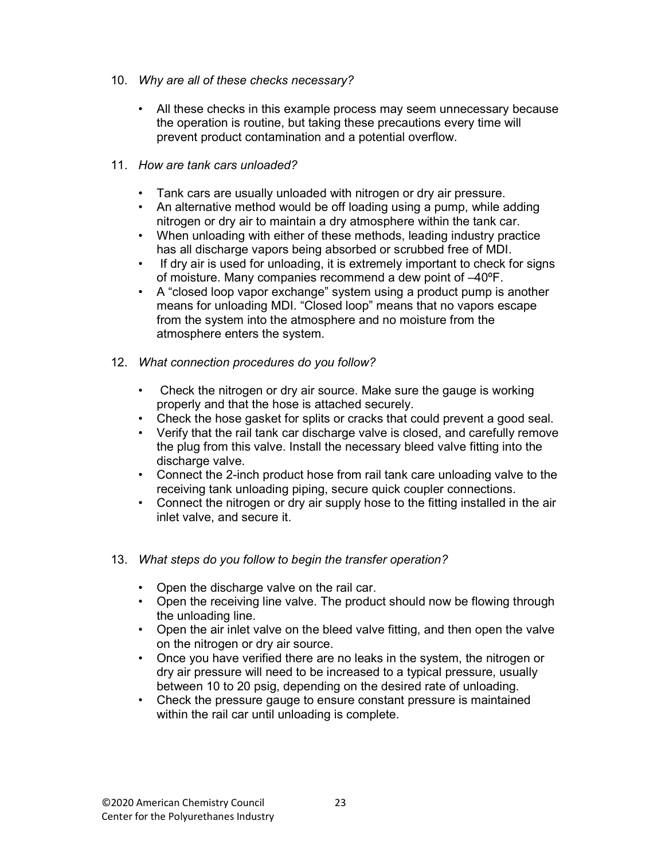- 10. Why are all of these checks necessary?
	- All these checks in this example process may seem unnecessary because the operation is routine, but taking these precautions every time will prevent product contamination and a potential overflow.
- 11. How are tank cars unloaded?
	- Tank cars are usually unloaded with nitrogen or dry air pressure.
	- An alternative method would be off loading using a pump, while adding nitrogen or dry air to maintain a dry atmosphere within the tank car.
	- When unloading with either of these methods, leading industry practice has all discharge vapors being absorbed or scrubbed free of MDI.
	- If dry air is used for unloading, it is extremely important to check for signs of moisture. Many companies recommend a dew point of –40ºF.
	- A "closed loop vapor exchange" system using a product pump is another means for unloading MDI. "Closed loop" means that no vapors escape from the system into the atmosphere and no moisture from the atmosphere enters the system.
- 12. What connection procedures do you follow?
	- Check the nitrogen or dry air source. Make sure the gauge is working properly and that the hose is attached securely.
	- Check the hose gasket for splits or cracks that could prevent a good seal.
	- Verify that the rail tank car discharge valve is closed, and carefully remove the plug from this valve. Install the necessary bleed valve fitting into the discharge valve.
	- Connect the 2-inch product hose from rail tank care unloading valve to the receiving tank unloading piping, secure quick coupler connections.
	- Connect the nitrogen or dry air supply hose to the fitting installed in the air inlet valve, and secure it.
- 13. What steps do you follow to begin the transfer operation?
	- Open the discharge valve on the rail car.
	- Open the receiving line valve. The product should now be flowing through the unloading line.
	- Open the air inlet valve on the bleed valve fitting, and then open the valve on the nitrogen or dry air source.
	- Once you have verified there are no leaks in the system, the nitrogen or dry air pressure will need to be increased to a typical pressure, usually between 10 to 20 psig, depending on the desired rate of unloading.
	- Check the pressure gauge to ensure constant pressure is maintained within the rail car until unloading is complete.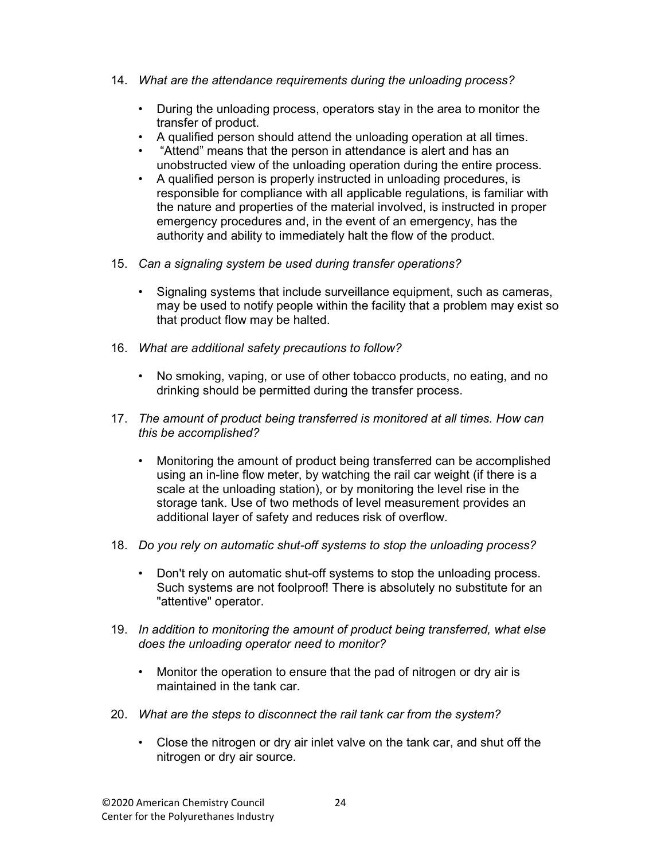- 14. What are the attendance requirements during the unloading process?
	- During the unloading process, operators stay in the area to monitor the transfer of product.
	- A qualified person should attend the unloading operation at all times.
	- "Attend" means that the person in attendance is alert and has an unobstructed view of the unloading operation during the entire process.
	- A qualified person is properly instructed in unloading procedures, is responsible for compliance with all applicable regulations, is familiar with the nature and properties of the material involved, is instructed in proper emergency procedures and, in the event of an emergency, has the authority and ability to immediately halt the flow of the product.
- 15. Can a signaling system be used during transfer operations?
	- Signaling systems that include surveillance equipment, such as cameras, may be used to notify people within the facility that a problem may exist so that product flow may be halted.
- 16. What are additional safety precautions to follow?
	- No smoking, vaping, or use of other tobacco products, no eating, and no drinking should be permitted during the transfer process.
- 17. The amount of product being transferred is monitored at all times. How can this be accomplished?
	- Monitoring the amount of product being transferred can be accomplished using an in-line flow meter, by watching the rail car weight (if there is a scale at the unloading station), or by monitoring the level rise in the storage tank. Use of two methods of level measurement provides an additional layer of safety and reduces risk of overflow.
- 18. Do you rely on automatic shut-off systems to stop the unloading process?
	- Don't rely on automatic shut-off systems to stop the unloading process. Such systems are not foolproof! There is absolutely no substitute for an "attentive" operator.
- 19. In addition to monitoring the amount of product being transferred, what else does the unloading operator need to monitor?
	- Monitor the operation to ensure that the pad of nitrogen or dry air is maintained in the tank car.
- 20. What are the steps to disconnect the rail tank car from the system?
	- Close the nitrogen or dry air inlet valve on the tank car, and shut off the nitrogen or dry air source.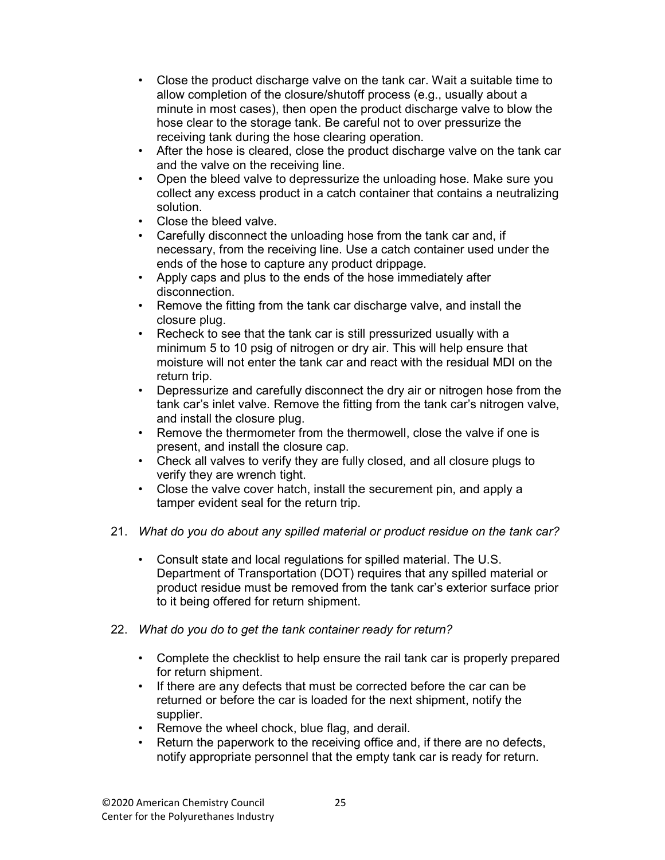- Close the product discharge valve on the tank car. Wait a suitable time to allow completion of the closure/shutoff process (e.g., usually about a minute in most cases), then open the product discharge valve to blow the hose clear to the storage tank. Be careful not to over pressurize the receiving tank during the hose clearing operation.
- After the hose is cleared, close the product discharge valve on the tank car and the valve on the receiving line.
- Open the bleed valve to depressurize the unloading hose. Make sure you collect any excess product in a catch container that contains a neutralizing solution.
- Close the bleed valve.
- Carefully disconnect the unloading hose from the tank car and, if necessary, from the receiving line. Use a catch container used under the ends of the hose to capture any product drippage.
- Apply caps and plus to the ends of the hose immediately after disconnection.
- Remove the fitting from the tank car discharge valve, and install the closure plug.
- Recheck to see that the tank car is still pressurized usually with a minimum 5 to 10 psig of nitrogen or dry air. This will help ensure that moisture will not enter the tank car and react with the residual MDI on the return trip.
- Depressurize and carefully disconnect the dry air or nitrogen hose from the tank car's inlet valve. Remove the fitting from the tank car's nitrogen valve, and install the closure plug.
- Remove the thermometer from the thermowell, close the valve if one is present, and install the closure cap.
- Check all valves to verify they are fully closed, and all closure plugs to verify they are wrench tight.
- Close the valve cover hatch, install the securement pin, and apply a tamper evident seal for the return trip.
- 21. What do you do about any spilled material or product residue on the tank car?
	- Consult state and local regulations for spilled material. The U.S. Department of Transportation (DOT) requires that any spilled material or product residue must be removed from the tank car's exterior surface prior to it being offered for return shipment.
- 22. What do you do to get the tank container ready for return?
	- Complete the checklist to help ensure the rail tank car is properly prepared for return shipment.
	- If there are any defects that must be corrected before the car can be returned or before the car is loaded for the next shipment, notify the supplier.
	- Remove the wheel chock, blue flag, and derail.
	- Return the paperwork to the receiving office and, if there are no defects, notify appropriate personnel that the empty tank car is ready for return.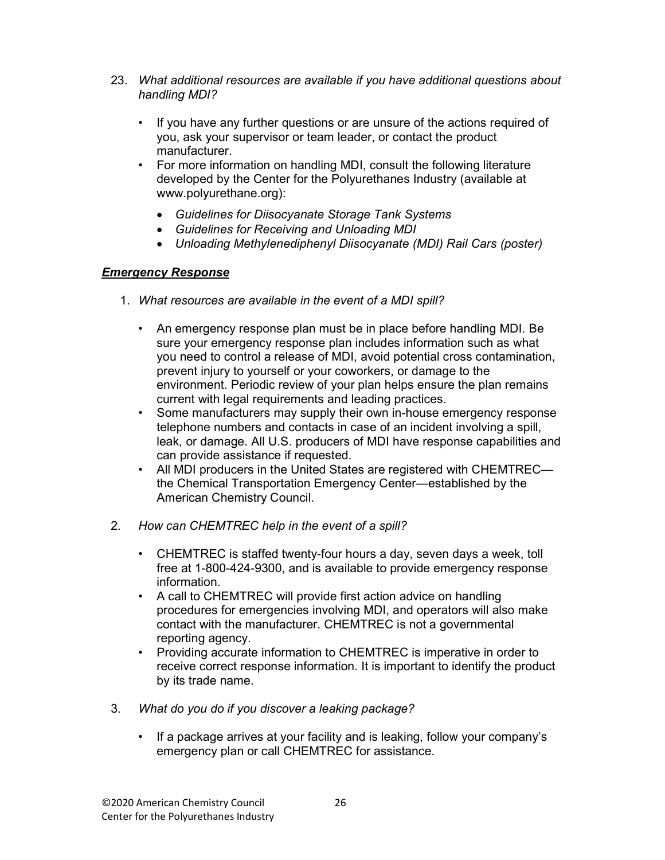- 23. What additional resources are available if you have additional questions about handling MDI?
	- If you have any further questions or are unsure of the actions required of you, ask your supervisor or team leader, or contact the product manufacturer.
	- For more information on handling MDI, consult the following literature developed by the Center for the Polyurethanes Industry (available at www.polyurethane.org):
		- Guidelines for Diisocyanate Storage Tank Systems
		- Guidelines for Receiving and Unloading MDI
		- Unloading Methylenediphenyl Diisocyanate (MDI) Rail Cars (poster)

#### Emergency Response

- 1. What resources are available in the event of a MDI spill?
	- An emergency response plan must be in place before handling MDI. Be sure your emergency response plan includes information such as what you need to control a release of MDI, avoid potential cross contamination, prevent injury to yourself or your coworkers, or damage to the environment. Periodic review of your plan helps ensure the plan remains current with legal requirements and leading practices.
	- Some manufacturers may supply their own in-house emergency response telephone numbers and contacts in case of an incident involving a spill, leak, or damage. All U.S. producers of MDI have response capabilities and can provide assistance if requested.
	- All MDI producers in the United States are registered with CHEMTREC the Chemical Transportation Emergency Center—established by the American Chemistry Council.
- 2. How can CHEMTREC help in the event of a spill?
	- CHEMTREC is staffed twenty-four hours a day, seven days a week, toll free at 1-800-424-9300, and is available to provide emergency response information.
	- A call to CHEMTREC will provide first action advice on handling procedures for emergencies involving MDI, and operators will also make contact with the manufacturer. CHEMTREC is not a governmental reporting agency.
	- Providing accurate information to CHEMTREC is imperative in order to receive correct response information. It is important to identify the product by its trade name.
- 3. What do you do if you discover a leaking package?
	- If a package arrives at your facility and is leaking, follow your company's emergency plan or call CHEMTREC for assistance.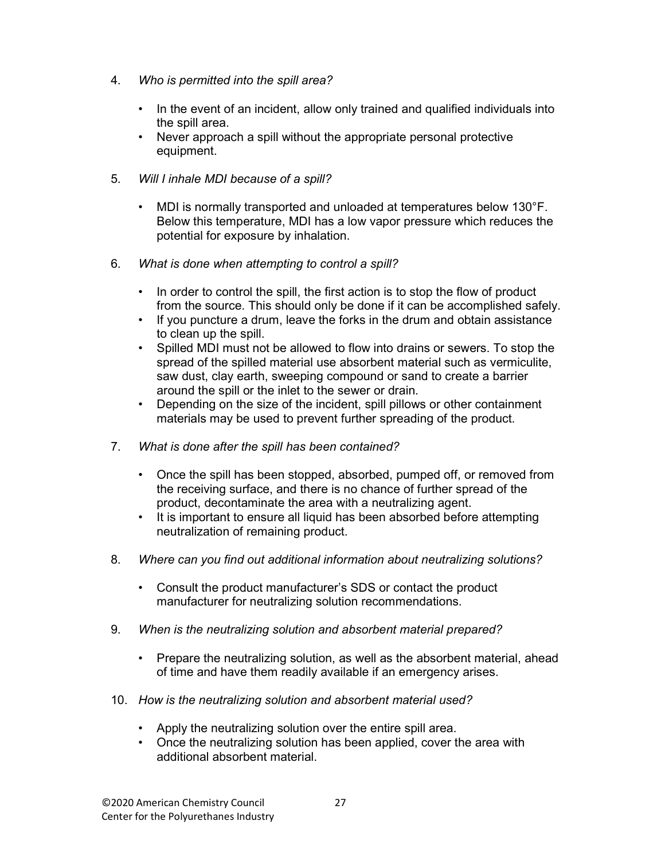- 4. Who is permitted into the spill area?
	- In the event of an incident, allow only trained and qualified individuals into the spill area.
	- Never approach a spill without the appropriate personal protective equipment.
- 5. Will I inhale MDI because of a spill?
	- MDI is normally transported and unloaded at temperatures below 130°F. Below this temperature, MDI has a low vapor pressure which reduces the potential for exposure by inhalation.
- 6. What is done when attempting to control a spill?
	- In order to control the spill, the first action is to stop the flow of product from the source. This should only be done if it can be accomplished safely.
	- If you puncture a drum, leave the forks in the drum and obtain assistance to clean up the spill.
	- Spilled MDI must not be allowed to flow into drains or sewers. To stop the spread of the spilled material use absorbent material such as vermiculite, saw dust, clay earth, sweeping compound or sand to create a barrier around the spill or the inlet to the sewer or drain.
	- Depending on the size of the incident, spill pillows or other containment materials may be used to prevent further spreading of the product.
- 7. What is done after the spill has been contained?
	- Once the spill has been stopped, absorbed, pumped off, or removed from the receiving surface, and there is no chance of further spread of the product, decontaminate the area with a neutralizing agent.
	- It is important to ensure all liquid has been absorbed before attempting neutralization of remaining product.
- 8. Where can you find out additional information about neutralizing solutions?
	- Consult the product manufacturer's SDS or contact the product manufacturer for neutralizing solution recommendations.
- 9. When is the neutralizing solution and absorbent material prepared?
	- Prepare the neutralizing solution, as well as the absorbent material, ahead of time and have them readily available if an emergency arises.
- 10. How is the neutralizing solution and absorbent material used?
	- Apply the neutralizing solution over the entire spill area.
	- Once the neutralizing solution has been applied, cover the area with additional absorbent material.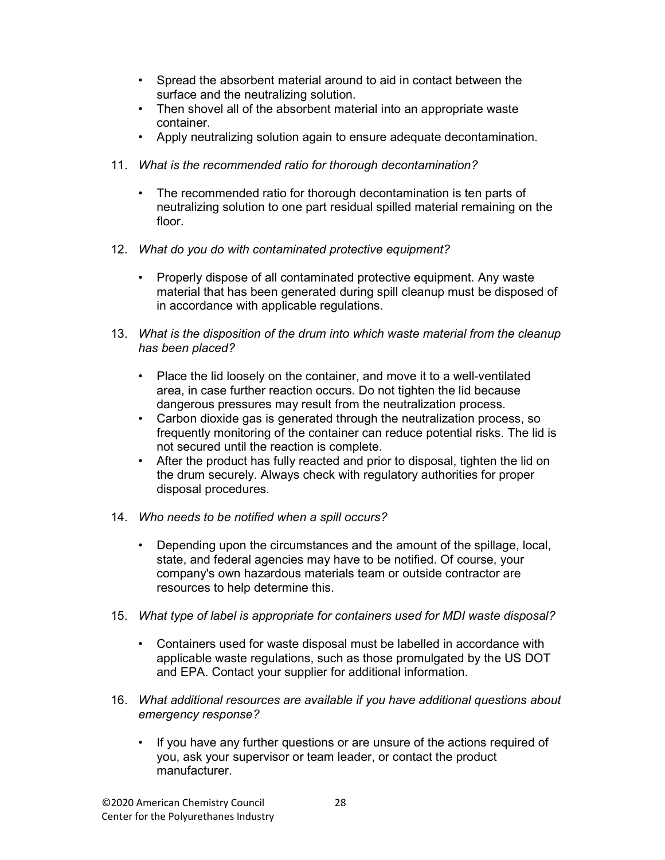- Spread the absorbent material around to aid in contact between the surface and the neutralizing solution.
- Then shovel all of the absorbent material into an appropriate waste container.
- Apply neutralizing solution again to ensure adequate decontamination.
- 11. What is the recommended ratio for thorough decontamination?
	- The recommended ratio for thorough decontamination is ten parts of neutralizing solution to one part residual spilled material remaining on the floor.
- 12. What do you do with contaminated protective equipment?
	- Properly dispose of all contaminated protective equipment. Any waste material that has been generated during spill cleanup must be disposed of in accordance with applicable regulations.
- 13. What is the disposition of the drum into which waste material from the cleanup has been placed?
	- Place the lid loosely on the container, and move it to a well-ventilated area, in case further reaction occurs. Do not tighten the lid because dangerous pressures may result from the neutralization process.
	- Carbon dioxide gas is generated through the neutralization process, so frequently monitoring of the container can reduce potential risks. The lid is not secured until the reaction is complete.
	- After the product has fully reacted and prior to disposal, tighten the lid on the drum securely. Always check with regulatory authorities for proper disposal procedures.
- 14. Who needs to be notified when a spill occurs?
	- Depending upon the circumstances and the amount of the spillage, local, state, and federal agencies may have to be notified. Of course, your company's own hazardous materials team or outside contractor are resources to help determine this.
- 15. What type of label is appropriate for containers used for MDI waste disposal?
	- Containers used for waste disposal must be labelled in accordance with applicable waste regulations, such as those promulgated by the US DOT and EPA. Contact your supplier for additional information.
- 16. What additional resources are available if you have additional questions about emergency response?
	- If you have any further questions or are unsure of the actions required of you, ask your supervisor or team leader, or contact the product manufacturer.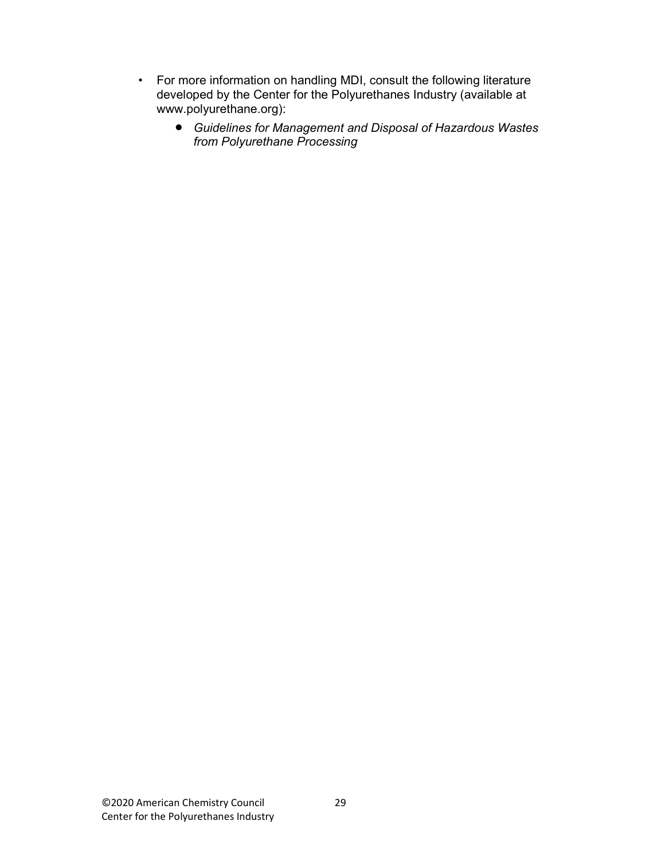- For more information on handling MDI, consult the following literature developed by the Center for the Polyurethanes Industry (available at www.polyurethane.org):
	- Guidelines for Management and Disposal of Hazardous Wastes from Polyurethane Processing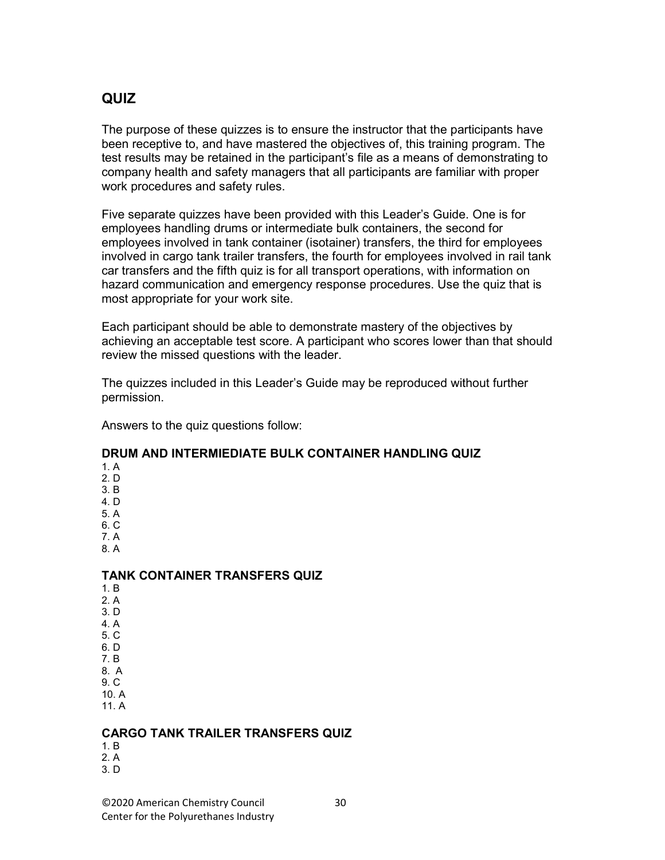### QUIZ

The purpose of these quizzes is to ensure the instructor that the participants have been receptive to, and have mastered the objectives of, this training program. The test results may be retained in the participant's file as a means of demonstrating to company health and safety managers that all participants are familiar with proper work procedures and safety rules.

Five separate quizzes have been provided with this Leader's Guide. One is for employees handling drums or intermediate bulk containers, the second for employees involved in tank container (isotainer) transfers, the third for employees involved in cargo tank trailer transfers, the fourth for employees involved in rail tank car transfers and the fifth quiz is for all transport operations, with information on hazard communication and emergency response procedures. Use the quiz that is most appropriate for your work site.

Each participant should be able to demonstrate mastery of the objectives by achieving an acceptable test score. A participant who scores lower than that should review the missed questions with the leader.

The quizzes included in this Leader's Guide may be reproduced without further permission.

Answers to the quiz questions follow:

#### DRUM AND INTERMIEDIATE BULK CONTAINER HANDLING QUIZ

- 1. A 2. D 3. B 4. D 5. A
- 6. C
- 7. A
- 8. A

#### TANK CONTAINER TRANSFERS QUIZ

- 1. B 2. A 3. D 4. A 5. C
- 
- 6. D 7. B
- 8. A
- 9. C
- 10. A 11. A
- 

#### CARGO TANK TRAILER TRANSFERS QUIZ

- 1. B
- 2. A 3. D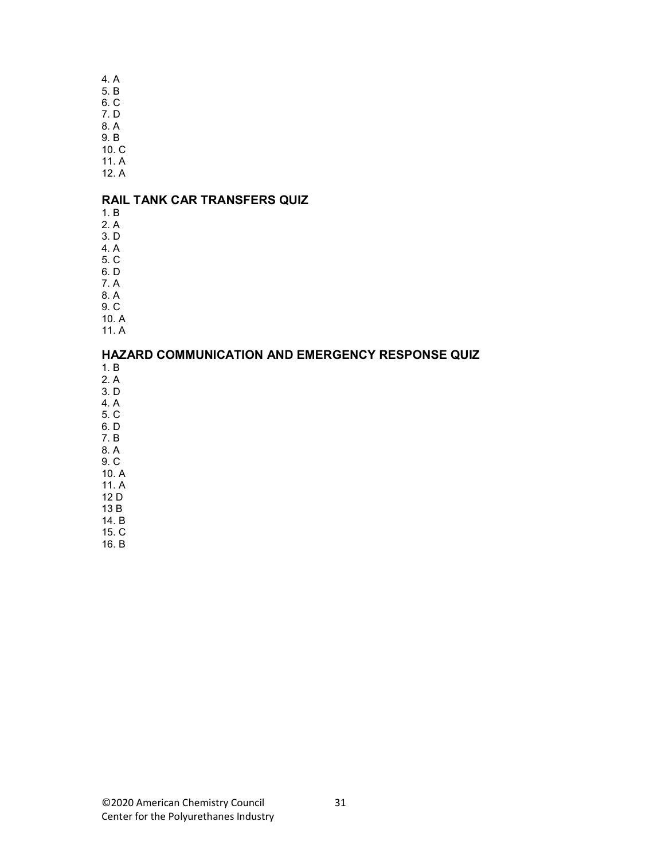4. A

- 5. B 6. C
- 7. D
- 8. A
- 9. B
- 10. C
- 11. A 12. A

#### RAIL TANK CAR TRANSFERS QUIZ

- 1. B
- 2. A
- 3. D 4. A
- 5. C
- 6. D
- 7. A
- 8. A
- 9. C
- 10. A
- 11. A

#### HAZARD COMMUNICATION AND EMERGENCY RESPONSE QUIZ

- 1. B
- 2. A
- 3. D 4. A
- 5. C
- 6. D
- 7. B
- 8. A 9. C
- 10. A
- 11. A
- 12 D
- 13 B
- 14. B 15. C
- 16. B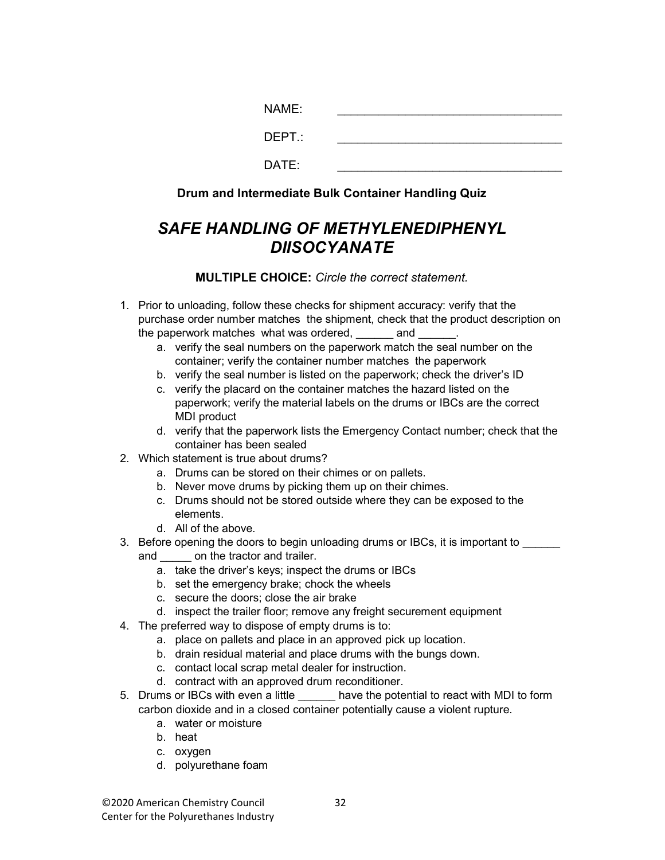| NAME:  |  |
|--------|--|
| DEPT.: |  |
| DATE:  |  |

Drum and Intermediate Bulk Container Handling Quiz

# SAFE HANDLING OF METHYLENEDIPHENYL **DIISOCYANATE**

- 1. Prior to unloading, follow these checks for shipment accuracy: verify that the purchase order number matches the shipment, check that the product description on the paperwork matches what was ordered, and
	- a. verify the seal numbers on the paperwork match the seal number on the container; verify the container number matches the paperwork
	- b. verify the seal number is listed on the paperwork; check the driver's ID
	- c. verify the placard on the container matches the hazard listed on the paperwork; verify the material labels on the drums or IBCs are the correct MDI product
	- d. verify that the paperwork lists the Emergency Contact number; check that the container has been sealed
- 2. Which statement is true about drums?
	- a. Drums can be stored on their chimes or on pallets.
	- b. Never move drums by picking them up on their chimes.
	- c. Drums should not be stored outside where they can be exposed to the elements.
	- d. All of the above.
- 3. Before opening the doors to begin unloading drums or IBCs, it is important to \_\_\_\_\_\_
	- and \_\_\_\_\_\_ on the tractor and trailer.
		- a. take the driver's keys; inspect the drums or IBCs
		- b. set the emergency brake; chock the wheels
		- c. secure the doors; close the air brake
		- d. inspect the trailer floor; remove any freight securement equipment
- 4. The preferred way to dispose of empty drums is to:
	- a. place on pallets and place in an approved pick up location.
	- b. drain residual material and place drums with the bungs down.
	- c. contact local scrap metal dealer for instruction.
	- d. contract with an approved drum reconditioner.
- 5. Drums or IBCs with even a little have the potential to react with MDI to form carbon dioxide and in a closed container potentially cause a violent rupture.
	- a. water or moisture
	- b. heat
	- c. oxygen
	- d. polyurethane foam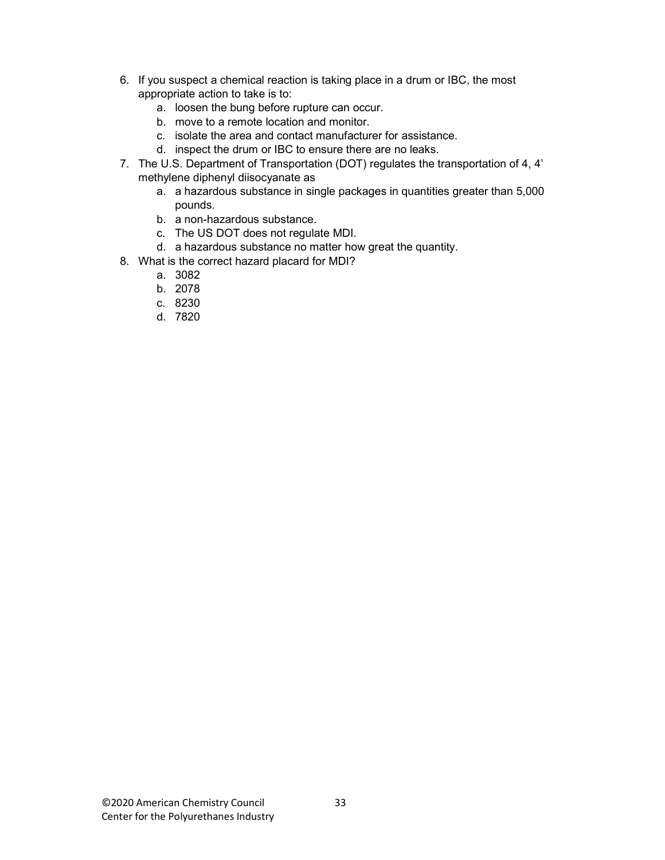- 6. If you suspect a chemical reaction is taking place in a drum or IBC, the most appropriate action to take is to:
	- a. loosen the bung before rupture can occur.
	- b. move to a remote location and monitor.
	- c. isolate the area and contact manufacturer for assistance.
	- d. inspect the drum or IBC to ensure there are no leaks.
- 7. The U.S. Department of Transportation (DOT) regulates the transportation of 4, 4' methylene diphenyl diisocyanate as
	- a. a hazardous substance in single packages in quantities greater than 5,000 pounds.
	- b. a non-hazardous substance.
	- c. The US DOT does not regulate MDI.
	- d. a hazardous substance no matter how great the quantity.
- 8. What is the correct hazard placard for MDI?
	- a. 3082
	- b. 2078
	- c. 8230
	- d. 7820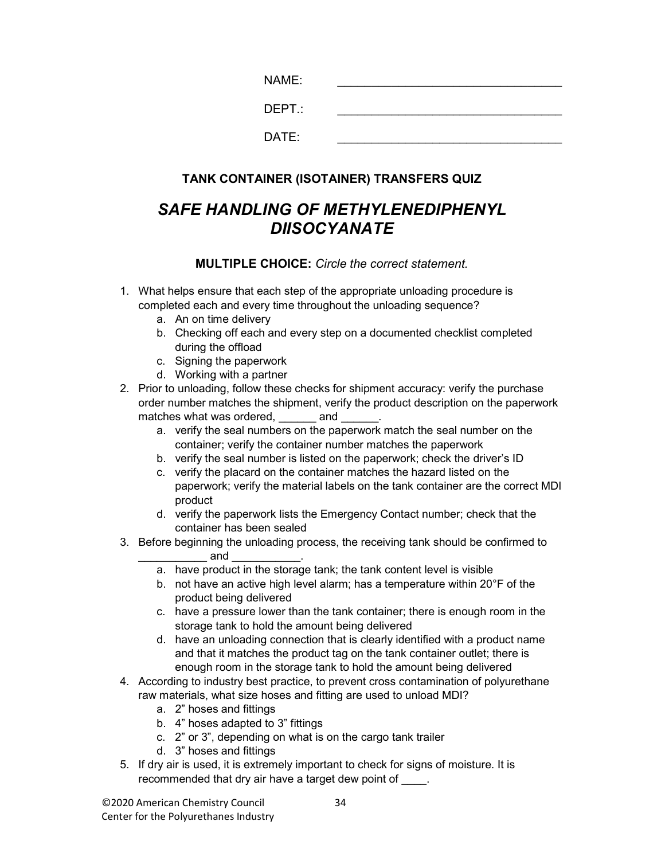| NAME:  |  |
|--------|--|
| DEPT.: |  |
| DATE:  |  |

#### TANK CONTAINER (ISOTAINER) TRANSFERS QUIZ

# SAFE HANDLING OF METHYLENEDIPHENYL DIISOCYANATE

- 1. What helps ensure that each step of the appropriate unloading procedure is completed each and every time throughout the unloading sequence?
	- a. An on time delivery
	- b. Checking off each and every step on a documented checklist completed during the offload
	- c. Signing the paperwork
	- d. Working with a partner
- 2. Prior to unloading, follow these checks for shipment accuracy: verify the purchase order number matches the shipment, verify the product description on the paperwork matches what was ordered, and
	- a. verify the seal numbers on the paperwork match the seal number on the container; verify the container number matches the paperwork
	- b. verify the seal number is listed on the paperwork; check the driver's ID
	- c. verify the placard on the container matches the hazard listed on the paperwork; verify the material labels on the tank container are the correct MDI product
	- d. verify the paperwork lists the Emergency Contact number; check that the container has been sealed
- 3. Before beginning the unloading process, the receiving tank should be confirmed to \_\_\_\_\_\_\_\_\_\_\_ and \_\_\_\_\_\_\_\_\_\_\_.
	- a. have product in the storage tank; the tank content level is visible
	- b. not have an active high level alarm; has a temperature within 20°F of the product being delivered
	- c. have a pressure lower than the tank container; there is enough room in the storage tank to hold the amount being delivered
	- d. have an unloading connection that is clearly identified with a product name and that it matches the product tag on the tank container outlet; there is enough room in the storage tank to hold the amount being delivered
- 4. According to industry best practice, to prevent cross contamination of polyurethane raw materials, what size hoses and fitting are used to unload MDI?
	- a. 2" hoses and fittings
	- b. 4" hoses adapted to 3" fittings
	- c. 2" or 3", depending on what is on the cargo tank trailer
	- d. 3" hoses and fittings
- 5. If dry air is used, it is extremely important to check for signs of moisture. It is recommended that dry air have a target dew point of  $\qquad$ .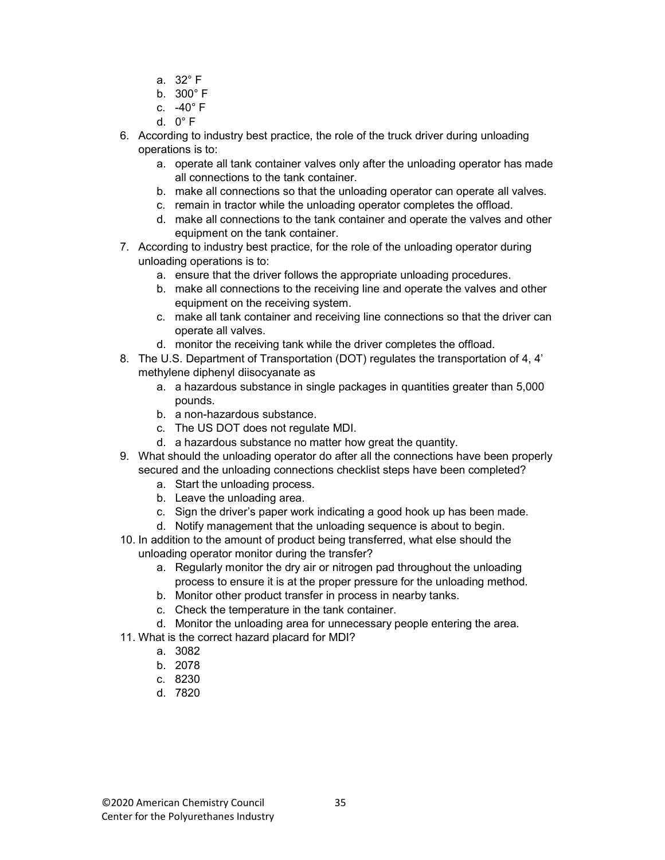- a. 32° F
- b. 300° F
- c. -40° F
- d. 0° F
- 6. According to industry best practice, the role of the truck driver during unloading operations is to:
	- a. operate all tank container valves only after the unloading operator has made all connections to the tank container.
	- b. make all connections so that the unloading operator can operate all valves.
	- c. remain in tractor while the unloading operator completes the offload.
	- d. make all connections to the tank container and operate the valves and other equipment on the tank container.
- 7. According to industry best practice, for the role of the unloading operator during unloading operations is to:
	- a. ensure that the driver follows the appropriate unloading procedures.
	- b. make all connections to the receiving line and operate the valves and other equipment on the receiving system.
	- c. make all tank container and receiving line connections so that the driver can operate all valves.
	- d. monitor the receiving tank while the driver completes the offload.
- 8. The U.S. Department of Transportation (DOT) regulates the transportation of 4, 4' methylene diphenyl diisocyanate as
	- a. a hazardous substance in single packages in quantities greater than 5,000 pounds.
	- b. a non-hazardous substance.
	- c. The US DOT does not regulate MDI.
	- d. a hazardous substance no matter how great the quantity.
- 9. What should the unloading operator do after all the connections have been properly secured and the unloading connections checklist steps have been completed?
	- a. Start the unloading process.
	- b. Leave the unloading area.
	- c. Sign the driver's paper work indicating a good hook up has been made.
	- d. Notify management that the unloading sequence is about to begin.
- 10. In addition to the amount of product being transferred, what else should the unloading operator monitor during the transfer?
	- a. Regularly monitor the dry air or nitrogen pad throughout the unloading process to ensure it is at the proper pressure for the unloading method.
	- b. Monitor other product transfer in process in nearby tanks.
	- c. Check the temperature in the tank container.
	- d. Monitor the unloading area for unnecessary people entering the area.
- 11. What is the correct hazard placard for MDI?
	- a. 3082
	- b. 2078
	- c. 8230
	- d. 7820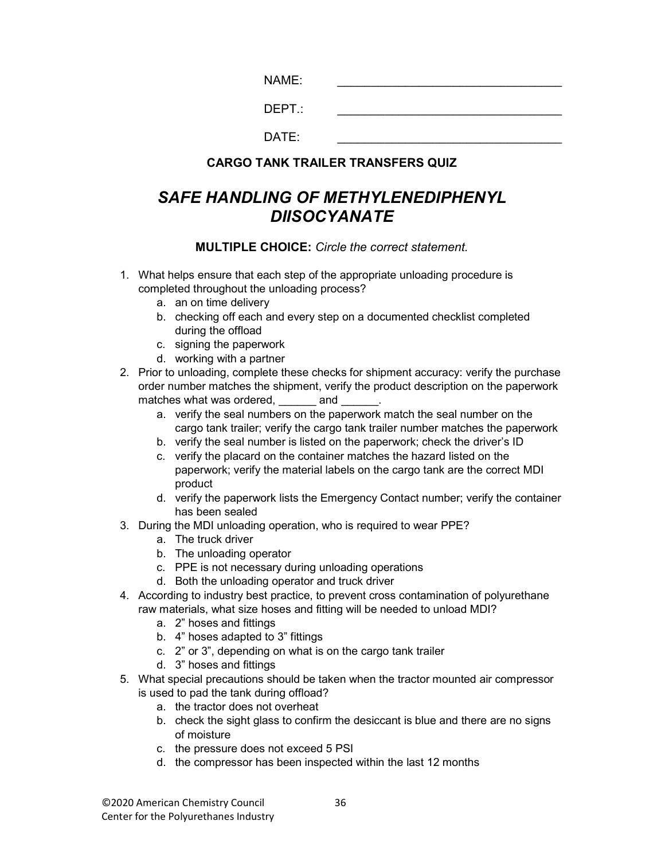$NAME:$ 

|--|

 $DATE:$ 

#### CARGO TANK TRAILER TRANSFERS QUIZ

# SAFE HANDLING OF METHYLENEDIPHENYL DIISOCYANATE

- 1. What helps ensure that each step of the appropriate unloading procedure is completed throughout the unloading process?
	- a. an on time delivery
	- b. checking off each and every step on a documented checklist completed during the offload
	- c. signing the paperwork
	- d. working with a partner
- 2. Prior to unloading, complete these checks for shipment accuracy: verify the purchase order number matches the shipment, verify the product description on the paperwork matches what was ordered, and
	- a. verify the seal numbers on the paperwork match the seal number on the cargo tank trailer; verify the cargo tank trailer number matches the paperwork
	- b. verify the seal number is listed on the paperwork; check the driver's ID
	- c. verify the placard on the container matches the hazard listed on the paperwork; verify the material labels on the cargo tank are the correct MDI product
	- d. verify the paperwork lists the Emergency Contact number; verify the container has been sealed
- 3. During the MDI unloading operation, who is required to wear PPE?
	- a. The truck driver
	- b. The unloading operator
	- c. PPE is not necessary during unloading operations
	- d. Both the unloading operator and truck driver
- 4. According to industry best practice, to prevent cross contamination of polyurethane raw materials, what size hoses and fitting will be needed to unload MDI?
	- a. 2" hoses and fittings
	- b. 4" hoses adapted to 3" fittings
	- c. 2" or 3", depending on what is on the cargo tank trailer
	- d. 3" hoses and fittings
- 5. What special precautions should be taken when the tractor mounted air compressor is used to pad the tank during offload?
	- a. the tractor does not overheat
	- b. check the sight glass to confirm the desiccant is blue and there are no signs of moisture
	- c. the pressure does not exceed 5 PSI
	- d. the compressor has been inspected within the last 12 months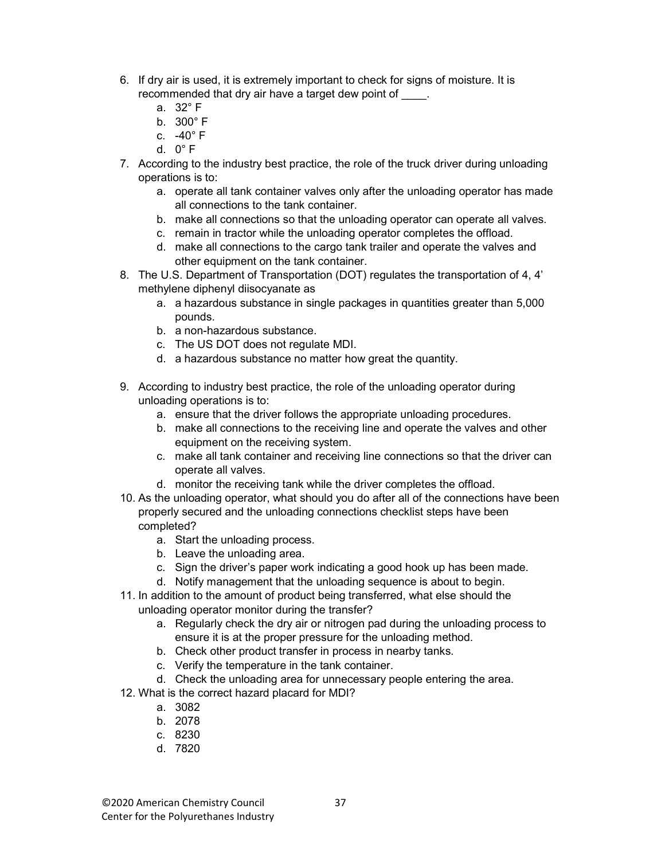- 6. If dry air is used, it is extremely important to check for signs of moisture. It is recommended that dry air have a target dew point of  $\qquad$ .
	- a. 32° F
	- b. 300° F
	- c.  $-40^\circ$  F
	- d. 0° F
- 7. According to the industry best practice, the role of the truck driver during unloading operations is to:
	- a. operate all tank container valves only after the unloading operator has made all connections to the tank container.
	- b. make all connections so that the unloading operator can operate all valves.
	- c. remain in tractor while the unloading operator completes the offload.
	- d. make all connections to the cargo tank trailer and operate the valves and other equipment on the tank container.
- 8. The U.S. Department of Transportation (DOT) regulates the transportation of 4, 4' methylene diphenyl diisocyanate as
	- a. a hazardous substance in single packages in quantities greater than 5,000 pounds.
	- b. a non-hazardous substance.
	- c. The US DOT does not regulate MDI.
	- d. a hazardous substance no matter how great the quantity.
- 9. According to industry best practice, the role of the unloading operator during unloading operations is to:
	- a. ensure that the driver follows the appropriate unloading procedures.
	- b. make all connections to the receiving line and operate the valves and other equipment on the receiving system.
	- c. make all tank container and receiving line connections so that the driver can operate all valves.
	- d. monitor the receiving tank while the driver completes the offload.
- 10. As the unloading operator, what should you do after all of the connections have been properly secured and the unloading connections checklist steps have been completed?
	- a. Start the unloading process.
	- b. Leave the unloading area.
	- c. Sign the driver's paper work indicating a good hook up has been made.
	- d. Notify management that the unloading sequence is about to begin.
- 11. In addition to the amount of product being transferred, what else should the unloading operator monitor during the transfer?
	- a. Regularly check the dry air or nitrogen pad during the unloading process to ensure it is at the proper pressure for the unloading method.
	- b. Check other product transfer in process in nearby tanks.
	- c. Verify the temperature in the tank container.
	- d. Check the unloading area for unnecessary people entering the area.
- 12. What is the correct hazard placard for MDI?
	- a. 3082
	- b. 2078
	- c. 8230
	- d. 7820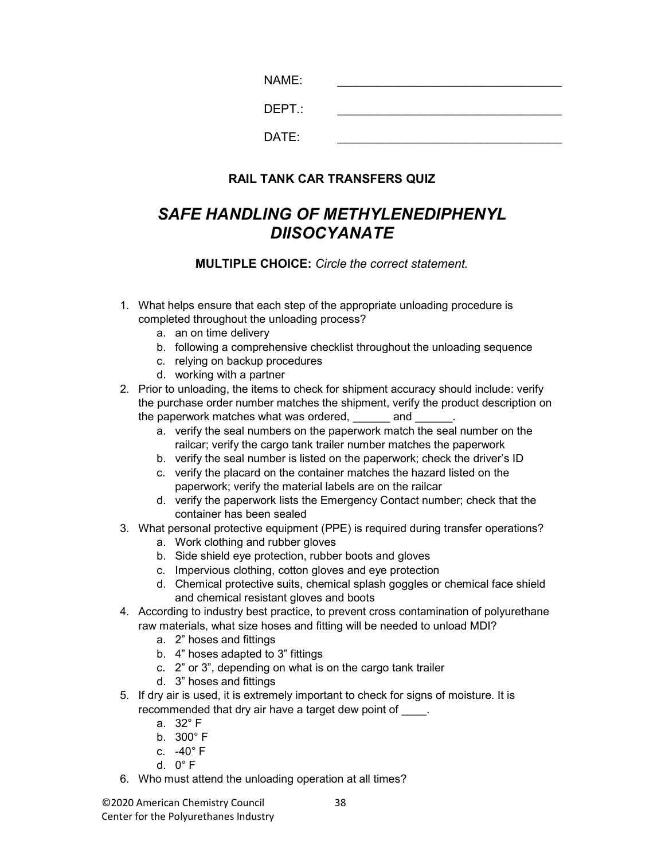| NAME:  |  |
|--------|--|
| DEPT.: |  |
| DATE:  |  |

#### RAIL TANK CAR TRANSFERS QUIZ

# SAFE HANDLING OF METHYLENEDIPHENYL DIISOCYANATE

- 1. What helps ensure that each step of the appropriate unloading procedure is completed throughout the unloading process?
	- a. an on time delivery
	- b. following a comprehensive checklist throughout the unloading sequence
	- c. relying on backup procedures
	- d. working with a partner
- 2. Prior to unloading, the items to check for shipment accuracy should include: verify the purchase order number matches the shipment, verify the product description on the paperwork matches what was ordered, and  $\Box$ 
	- a. verify the seal numbers on the paperwork match the seal number on the railcar; verify the cargo tank trailer number matches the paperwork
	- b. verify the seal number is listed on the paperwork; check the driver's ID
	- c. verify the placard on the container matches the hazard listed on the paperwork; verify the material labels are on the railcar
	- d. verify the paperwork lists the Emergency Contact number; check that the container has been sealed
- 3. What personal protective equipment (PPE) is required during transfer operations?
	- a. Work clothing and rubber gloves
	- b. Side shield eye protection, rubber boots and gloves
	- c. Impervious clothing, cotton gloves and eye protection
	- d. Chemical protective suits, chemical splash goggles or chemical face shield and chemical resistant gloves and boots
- 4. According to industry best practice, to prevent cross contamination of polyurethane raw materials, what size hoses and fitting will be needed to unload MDI?
	- a. 2" hoses and fittings
	- b. 4" hoses adapted to 3" fittings
	- c. 2" or 3", depending on what is on the cargo tank trailer
	- d. 3" hoses and fittings
- 5. If dry air is used, it is extremely important to check for signs of moisture. It is recommended that dry air have a target dew point of \_\_\_\_.
	- a. 32° F
	- b. 300° F
	- c. -40° F
	- d. 0° F
- 6. Who must attend the unloading operation at all times?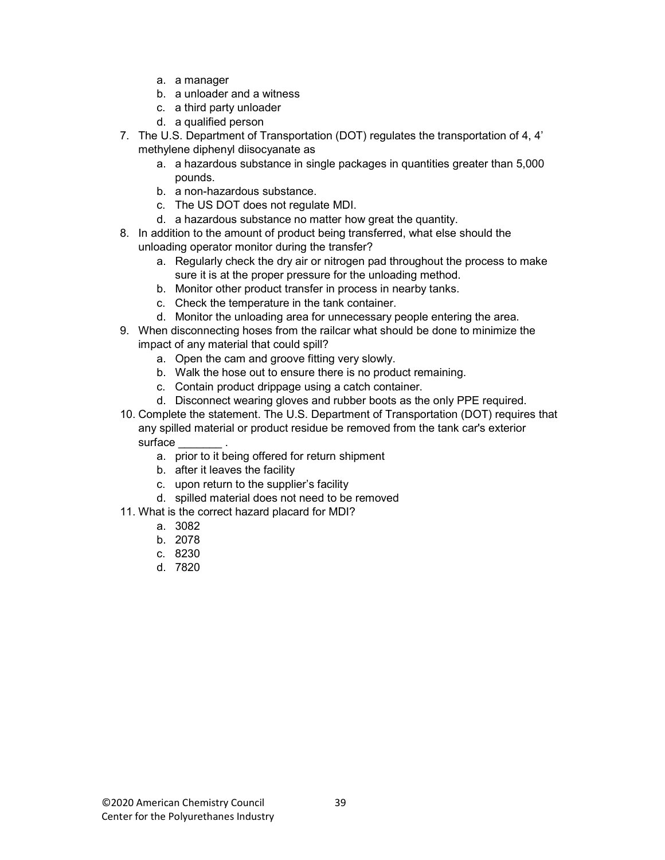- a. a manager
- b. a unloader and a witness
- c. a third party unloader
- d. a qualified person
- 7. The U.S. Department of Transportation (DOT) regulates the transportation of 4, 4' methylene diphenyl diisocyanate as
	- a. a hazardous substance in single packages in quantities greater than 5,000 pounds.
	- b. a non-hazardous substance.
	- c. The US DOT does not regulate MDI.
	- d. a hazardous substance no matter how great the quantity.
- 8. In addition to the amount of product being transferred, what else should the unloading operator monitor during the transfer?
	- a. Regularly check the dry air or nitrogen pad throughout the process to make sure it is at the proper pressure for the unloading method.
	- b. Monitor other product transfer in process in nearby tanks.
	- c. Check the temperature in the tank container.
	- d. Monitor the unloading area for unnecessary people entering the area.
- 9. When disconnecting hoses from the railcar what should be done to minimize the impact of any material that could spill?
	- a. Open the cam and groove fitting very slowly.
	- b. Walk the hose out to ensure there is no product remaining.
	- c. Contain product drippage using a catch container.
	- d. Disconnect wearing gloves and rubber boots as the only PPE required.
- 10. Complete the statement. The U.S. Department of Transportation (DOT) requires that any spilled material or product residue be removed from the tank car's exterior surface
	- a. prior to it being offered for return shipment
	- b. after it leaves the facility
	- c. upon return to the supplier's facility
	- d. spilled material does not need to be removed
- 11. What is the correct hazard placard for MDI?
	- a. 3082
	- b. 2078
	- c. 8230
	- d. 7820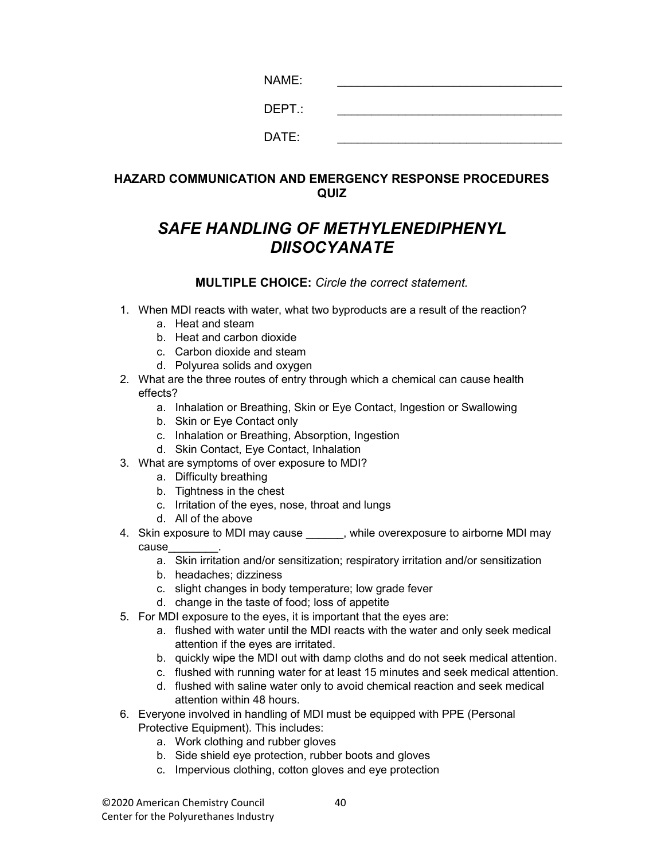| NAME:  |  |
|--------|--|
| DEPT.: |  |
| DATE:  |  |

#### HAZARD COMMUNICATION AND EMERGENCY RESPONSE PROCEDURES QUIZ

# SAFE HANDLING OF METHYLENEDIPHENYL **DIISOCYANATE**

- 1. When MDI reacts with water, what two byproducts are a result of the reaction?
	- a. Heat and steam
	- b. Heat and carbon dioxide
	- c. Carbon dioxide and steam
	- d. Polyurea solids and oxygen
- 2. What are the three routes of entry through which a chemical can cause health effects?
	- a. Inhalation or Breathing, Skin or Eye Contact, Ingestion or Swallowing
	- b. Skin or Eye Contact only
	- c. Inhalation or Breathing, Absorption, Ingestion
	- d. Skin Contact, Eye Contact, Inhalation
- 3. What are symptoms of over exposure to MDI?
	- a. Difficulty breathing
	- b. Tightness in the chest
	- c. Irritation of the eyes, nose, throat and lungs
	- d. All of the above
- 4. Skin exposure to MDI may cause  $\frac{1}{2}$ , while overexposure to airborne MDI may cause\_\_\_\_\_\_\_\_.
	- a. Skin irritation and/or sensitization; respiratory irritation and/or sensitization
	- b. headaches; dizziness
	- c. slight changes in body temperature; low grade fever
	- d. change in the taste of food; loss of appetite
- 5. For MDI exposure to the eyes, it is important that the eyes are:
	- a. flushed with water until the MDI reacts with the water and only seek medical attention if the eyes are irritated.
	- b. quickly wipe the MDI out with damp cloths and do not seek medical attention.
	- c. flushed with running water for at least 15 minutes and seek medical attention.
	- d. flushed with saline water only to avoid chemical reaction and seek medical attention within 48 hours.
- 6. Everyone involved in handling of MDI must be equipped with PPE (Personal Protective Equipment). This includes:
	- a. Work clothing and rubber gloves
	- b. Side shield eye protection, rubber boots and gloves
	- c. Impervious clothing, cotton gloves and eye protection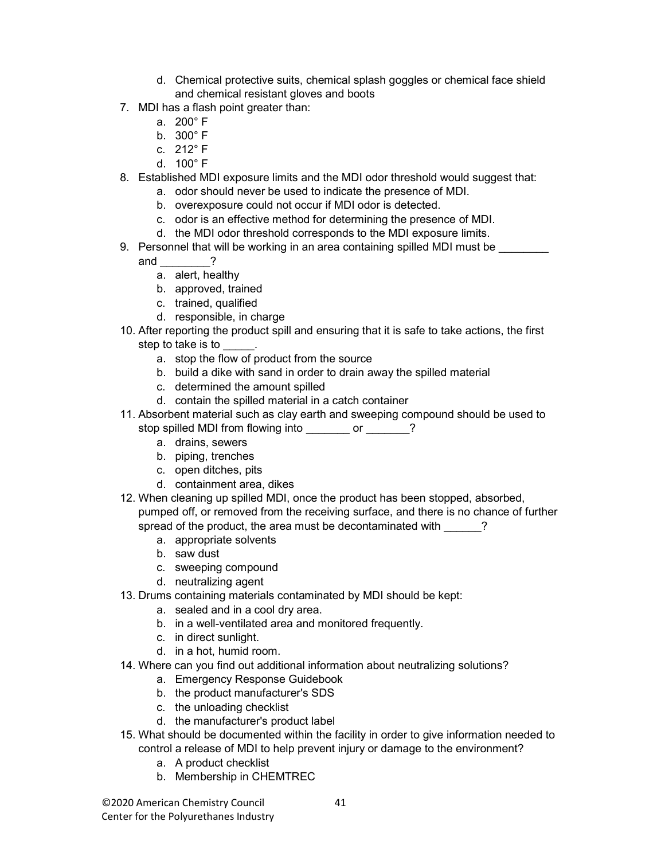- d. Chemical protective suits, chemical splash goggles or chemical face shield and chemical resistant gloves and boots
- 7. MDI has a flash point greater than:
	- a. 200° F
	- b. 300° F
	- c. 212° F
	- d. 100° F
- 8. Established MDI exposure limits and the MDI odor threshold would suggest that:
	- a. odor should never be used to indicate the presence of MDI.
		- b. overexposure could not occur if MDI odor is detected.
	- c. odor is an effective method for determining the presence of MDI.
	- d. the MDI odor threshold corresponds to the MDI exposure limits.
- 9. Personnel that will be working in an area containing spilled MDI must be
	- and  $\overline{?}$ 
		- a. alert, healthy
		- b. approved, trained
		- c. trained, qualified
		- d. responsible, in charge
- 10. After reporting the product spill and ensuring that it is safe to take actions, the first step to take is to
	- a. stop the flow of product from the source
	- b. build a dike with sand in order to drain away the spilled material
	- c. determined the amount spilled
	- d. contain the spilled material in a catch container
- 11. Absorbent material such as clay earth and sweeping compound should be used to stop spilled MDI from flowing into \_\_\_\_\_\_\_ or \_\_\_\_\_\_?
	- a. drains, sewers
	- b. piping, trenches
	- c. open ditches, pits
	- d. containment area, dikes
- 12. When cleaning up spilled MDI, once the product has been stopped, absorbed, pumped off, or removed from the receiving surface, and there is no chance of further spread of the product, the area must be decontaminated with  $\qquad$ ?
	- a. appropriate solvents
	- b. saw dust
	- c. sweeping compound
	- d. neutralizing agent
- 13. Drums containing materials contaminated by MDI should be kept:
	- a. sealed and in a cool dry area.
	- b. in a well-ventilated area and monitored frequently.
	- c. in direct sunlight.
	- d. in a hot, humid room.
- 14. Where can you find out additional information about neutralizing solutions?
	- a. Emergency Response Guidebook
	- b. the product manufacturer's SDS
	- c. the unloading checklist
	- d. the manufacturer's product label
- 15. What should be documented within the facility in order to give information needed to control a release of MDI to help prevent injury or damage to the environment?
	- a. A product checklist
	- b. Membership in CHEMTREC